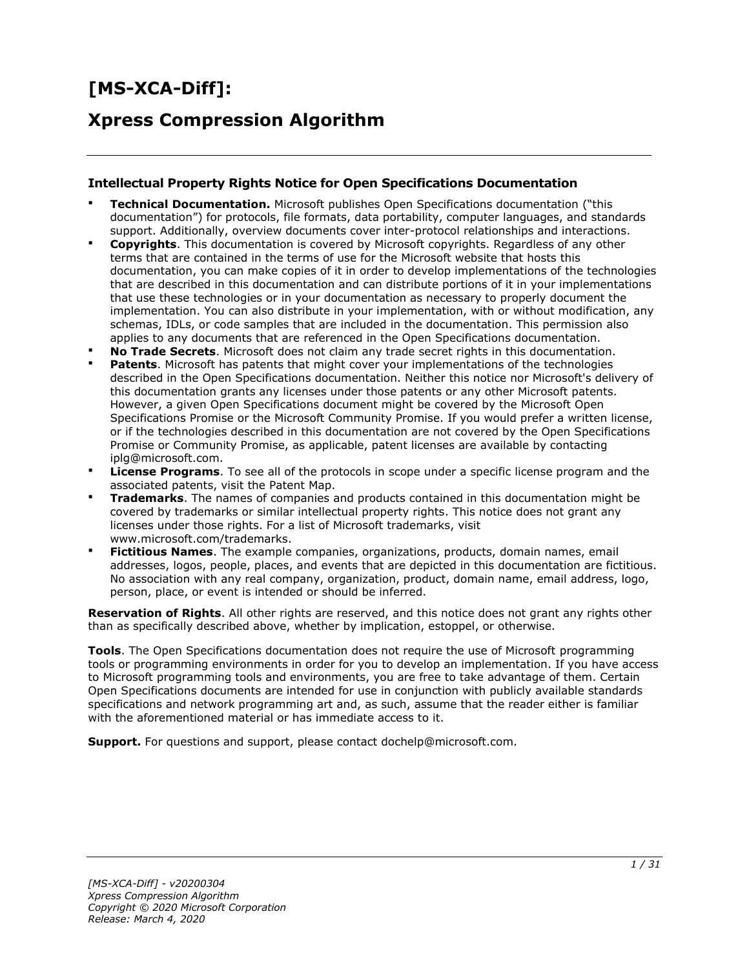# **[MS-XCA-Diff]:**

# **Xpress Compression Algorithm**

#### **Intellectual Property Rights Notice for Open Specifications Documentation**

- **Technical Documentation.** Microsoft publishes Open Specifications documentation ("this documentation") for protocols, file formats, data portability, computer languages, and standards support. Additionally, overview documents cover inter-protocol relationships and interactions.
- **Copyrights**. This documentation is covered by Microsoft copyrights. Regardless of any other terms that are contained in the terms of use for the Microsoft website that hosts this documentation, you can make copies of it in order to develop implementations of the technologies that are described in this documentation and can distribute portions of it in your implementations that use these technologies or in your documentation as necessary to properly document the implementation. You can also distribute in your implementation, with or without modification, any schemas, IDLs, or code samples that are included in the documentation. This permission also applies to any documents that are referenced in the Open Specifications documentation.
- **No Trade Secrets.** Microsoft does not claim any trade secret rights in this documentation.
- **Patents**. Microsoft has patents that might cover your implementations of the technologies described in the Open Specifications documentation. Neither this notice nor Microsoft's delivery of this documentation grants any licenses under those patents or any other Microsoft patents. However, a given Open Specifications document might be covered by the Microsoft Open Specifications Promise or the Microsoft Community Promise. If you would prefer a written license, or if the technologies described in this documentation are not covered by the Open Specifications Promise or Community Promise, as applicable, patent licenses are available by contacting iplg@microsoft.com.
- **License Programs**. To see all of the protocols in scope under a specific license program and the associated patents, visit the Patent Map.
- **Trademarks**. The names of companies and products contained in this documentation might be covered by trademarks or similar intellectual property rights. This notice does not grant any licenses under those rights. For a list of Microsoft trademarks, visit www.microsoft.com/trademarks.
- **Fictitious Names**. The example companies, organizations, products, domain names, email addresses, logos, people, places, and events that are depicted in this documentation are fictitious. No association with any real company, organization, product, domain name, email address, logo, person, place, or event is intended or should be inferred.

**Reservation of Rights**. All other rights are reserved, and this notice does not grant any rights other than as specifically described above, whether by implication, estoppel, or otherwise.

**Tools**. The Open Specifications documentation does not require the use of Microsoft programming tools or programming environments in order for you to develop an implementation. If you have access to Microsoft programming tools and environments, you are free to take advantage of them. Certain Open Specifications documents are intended for use in conjunction with publicly available standards specifications and network programming art and, as such, assume that the reader either is familiar with the aforementioned material or has immediate access to it.

**Support.** For questions and support, please contact dochelp@microsoft.com.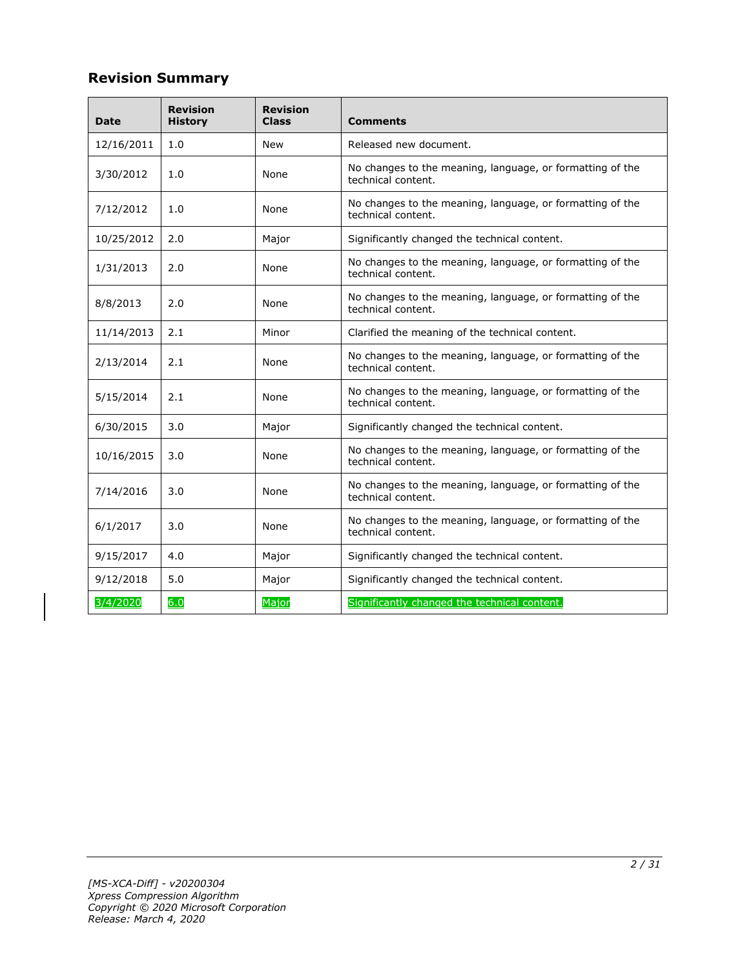# **Revision Summary**

| <b>Date</b> | <b>Revision</b><br><b>History</b> | <b>Revision</b><br><b>Class</b> | <b>Comments</b>                                                                 |
|-------------|-----------------------------------|---------------------------------|---------------------------------------------------------------------------------|
| 12/16/2011  | 1.0                               | New                             | Released new document.                                                          |
| 3/30/2012   | 1.0                               | None                            | No changes to the meaning, language, or formatting of the<br>technical content. |
| 7/12/2012   | 1.0                               | None                            | No changes to the meaning, language, or formatting of the<br>technical content. |
| 10/25/2012  | 2.0                               | Major                           | Significantly changed the technical content.                                    |
| 1/31/2013   | 2.0                               | None                            | No changes to the meaning, language, or formatting of the<br>technical content. |
| 8/8/2013    | 2.0                               | None                            | No changes to the meaning, language, or formatting of the<br>technical content. |
| 11/14/2013  | 2.1                               | Minor                           | Clarified the meaning of the technical content.                                 |
| 2/13/2014   | 2.1                               | None                            | No changes to the meaning, language, or formatting of the<br>technical content. |
| 5/15/2014   | 2.1                               | None                            | No changes to the meaning, language, or formatting of the<br>technical content. |
| 6/30/2015   | 3.0                               | Major                           | Significantly changed the technical content.                                    |
| 10/16/2015  | 3.0                               | None                            | No changes to the meaning, language, or formatting of the<br>technical content. |
| 7/14/2016   | 3.0                               | None                            | No changes to the meaning, language, or formatting of the<br>technical content. |
| 6/1/2017    | 3.0                               | None                            | No changes to the meaning, language, or formatting of the<br>technical content. |
| 9/15/2017   | 4.0                               | Major                           | Significantly changed the technical content.                                    |
| 9/12/2018   | 5.0                               | Major                           | Significantly changed the technical content.                                    |
| 3/4/2020    | 6.0                               | Major                           | Significantly changed the technical content.                                    |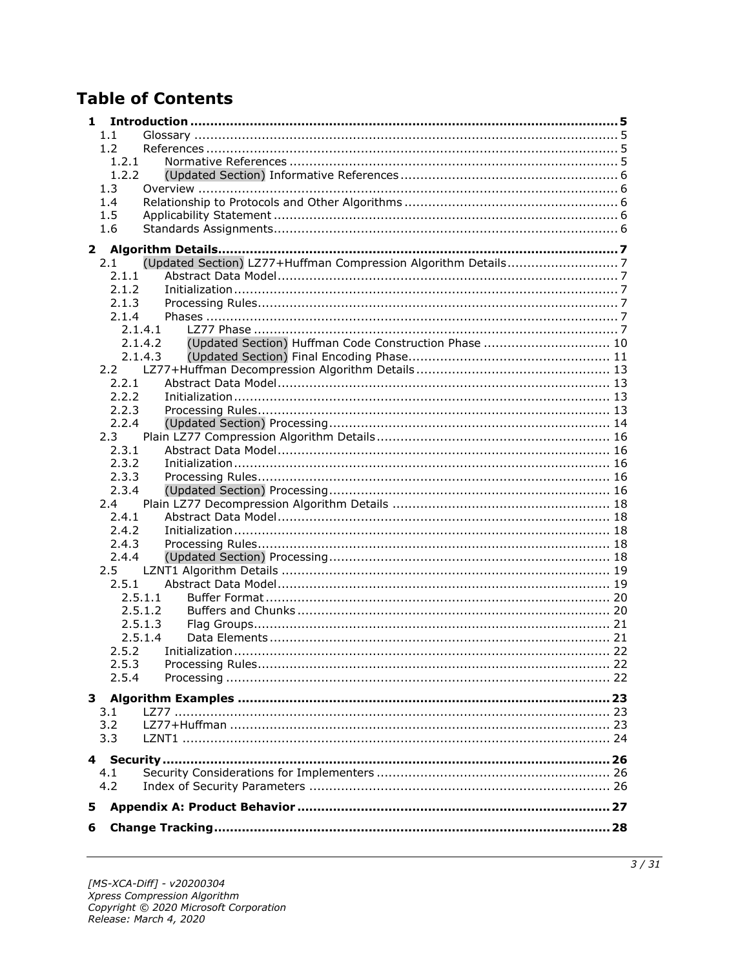# **Table of Contents**

| 1             |                                                                  |  |
|---------------|------------------------------------------------------------------|--|
| 1.1           |                                                                  |  |
| 1.2           |                                                                  |  |
|               | 1.2.1                                                            |  |
|               | 1.2.2                                                            |  |
| 1.3           |                                                                  |  |
| 1.4           |                                                                  |  |
| 1.5           |                                                                  |  |
| 1.6           |                                                                  |  |
| $\mathbf{2}$  |                                                                  |  |
| 2.1           | (Updated Section) LZ77+Huffman Compression Algorithm Details7    |  |
|               | 2.1.1                                                            |  |
|               | 2.1.2                                                            |  |
|               | 2.1.3                                                            |  |
|               | 2.1.4                                                            |  |
|               | 2.1.4.1                                                          |  |
|               | (Updated Section) Huffman Code Construction Phase  10<br>2.1.4.2 |  |
|               | 2.1.4.3                                                          |  |
|               |                                                                  |  |
|               | 2.2.1                                                            |  |
|               | 2.2.2                                                            |  |
|               | 2.2.3                                                            |  |
|               | 2.2.4                                                            |  |
| 2.3           |                                                                  |  |
|               | 2.3.1                                                            |  |
|               | 2.3.2                                                            |  |
|               | 2.3.3                                                            |  |
|               | 2.3.4                                                            |  |
| 2.4           |                                                                  |  |
|               | 2.4.1                                                            |  |
|               | 2.4.2                                                            |  |
|               | 2.4.3                                                            |  |
|               | 2.4.4                                                            |  |
| $2.5^{\circ}$ |                                                                  |  |
|               | 2.5.1                                                            |  |
|               | 2.5.1.1                                                          |  |
|               | 2.5.1.2<br>2.5.1.3                                               |  |
|               | 2.5.1.4                                                          |  |
|               | 2.5.2                                                            |  |
|               | 2.5.3                                                            |  |
|               | 2.5.4                                                            |  |
|               |                                                                  |  |
|               |                                                                  |  |
| 3.1           |                                                                  |  |
| 3.2           |                                                                  |  |
| 3.3           |                                                                  |  |
|               |                                                                  |  |
| 4.1           |                                                                  |  |
| 4.2           |                                                                  |  |
|               |                                                                  |  |
| 5             |                                                                  |  |
| 6             |                                                                  |  |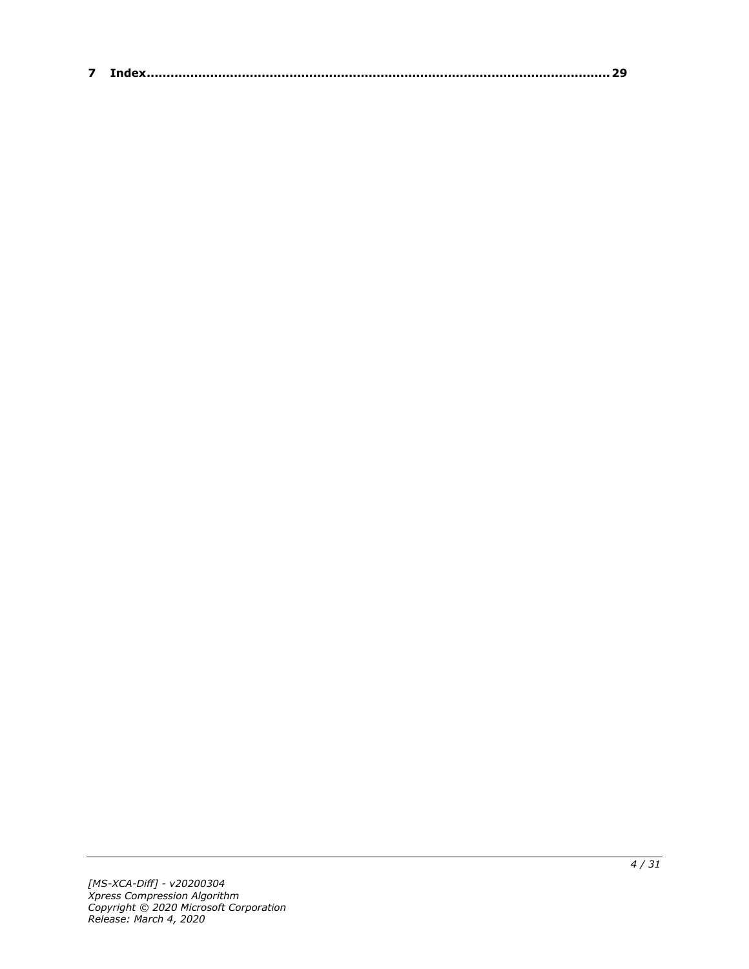| $\sim$ |  |
|--------|--|
|--------|--|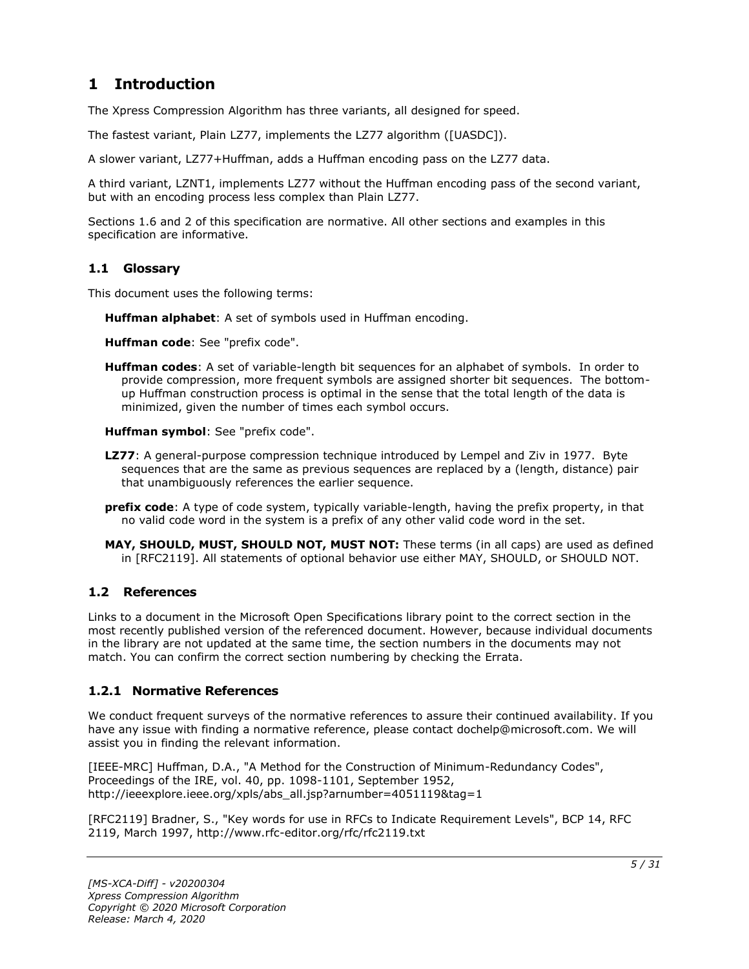# <span id="page-4-0"></span>**1 Introduction**

The Xpress Compression Algorithm has three variants, all designed for speed.

The fastest variant, Plain LZ77, implements the LZ77 algorithm ([UASDC]).

A slower variant, LZ77+Huffman, adds a Huffman encoding pass on the LZ77 data.

A third variant, LZNT1, implements LZ77 without the Huffman encoding pass of the second variant, but with an encoding process less complex than Plain LZ77.

Sections 1.6 and 2 of this specification are normative. All other sections and examples in this specification are informative.

#### <span id="page-4-1"></span>**1.1 Glossary**

This document uses the following terms:

**Huffman alphabet**: A set of symbols used in Huffman encoding.

**Huffman code**: See "prefix code".

**Huffman codes**: A set of variable-length bit sequences for an alphabet of symbols. In order to provide compression, more frequent symbols are assigned shorter bit sequences. The bottomup Huffman construction process is optimal in the sense that the total length of the data is minimized, given the number of times each symbol occurs.

**Huffman symbol**: See "prefix code".

- **LZ77**: A general-purpose compression technique introduced by Lempel and Ziv in 1977. Byte sequences that are the same as previous sequences are replaced by a (length, distance) pair that unambiguously references the earlier sequence.
- **prefix code**: A type of code system, typically variable-length, having the prefix property, in that no valid code word in the system is a prefix of any other valid code word in the set.
- **MAY, SHOULD, MUST, SHOULD NOT, MUST NOT:** These terms (in all caps) are used as defined in [RFC2119]. All statements of optional behavior use either MAY, SHOULD, or SHOULD NOT.

#### <span id="page-4-2"></span>**1.2 References**

Links to a document in the Microsoft Open Specifications library point to the correct section in the most recently published version of the referenced document. However, because individual documents in the library are not updated at the same time, the section numbers in the documents may not match. You can confirm the correct section numbering by checking the Errata.

#### <span id="page-4-3"></span>**1.2.1 Normative References**

We conduct frequent surveys of the normative references to assure their continued availability. If you have any issue with finding a normative reference, please contact dochelp@microsoft.com. We will assist you in finding the relevant information.

[IEEE-MRC] Huffman, D.A., "A Method for the Construction of Minimum-Redundancy Codes", Proceedings of the IRE, vol. 40, pp. 1098-1101, September 1952, http://ieeexplore.ieee.org/xpls/abs\_all.jsp?arnumber=4051119&tag=1

[RFC2119] Bradner, S., "Key words for use in RFCs to Indicate Requirement Levels", BCP 14, RFC 2119, March 1997, http://www.rfc-editor.org/rfc/rfc2119.txt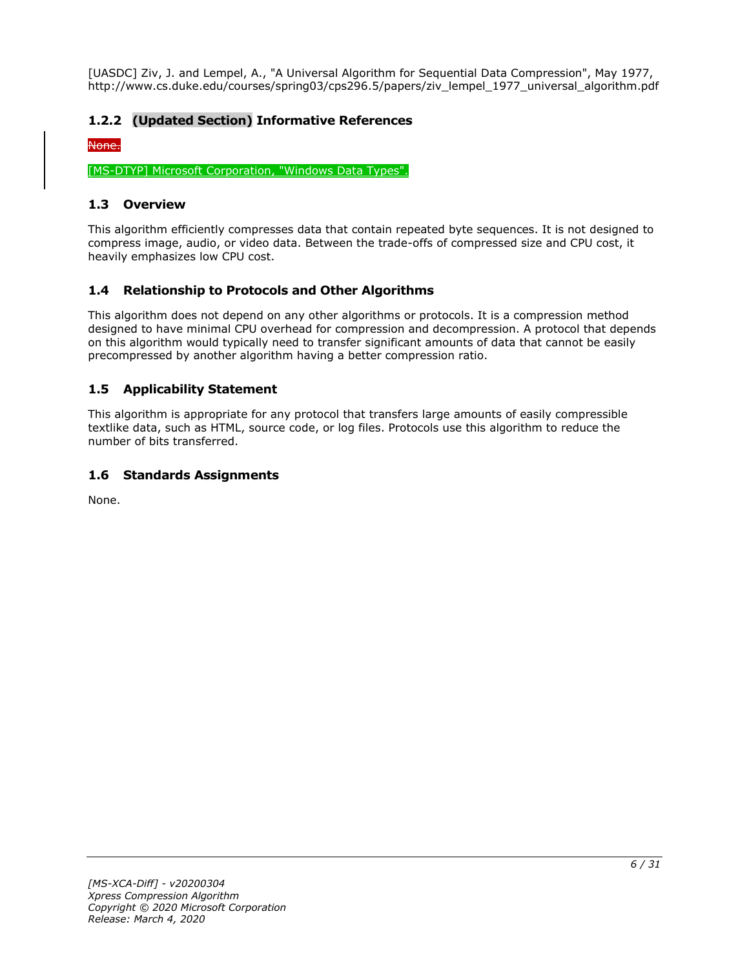[UASDC] Ziv, J. and Lempel, A., "A Universal Algorithm for Sequential Data Compression", May 1977, http://www.cs.duke.edu/courses/spring03/cps296.5/papers/ziv\_lempel\_1977\_universal\_algorithm.pdf

### <span id="page-5-0"></span>**1.2.2 (Updated Section) Informative References**

#### None.

[MS-DTYP] Microsoft Corporation, "Windows Data Types".

#### <span id="page-5-1"></span>**1.3 Overview**

This algorithm efficiently compresses data that contain repeated byte sequences. It is not designed to compress image, audio, or video data. Between the trade-offs of compressed size and CPU cost, it heavily emphasizes low CPU cost.

### <span id="page-5-2"></span>**1.4 Relationship to Protocols and Other Algorithms**

This algorithm does not depend on any other algorithms or protocols. It is a compression method designed to have minimal CPU overhead for compression and decompression. A protocol that depends on this algorithm would typically need to transfer significant amounts of data that cannot be easily precompressed by another algorithm having a better compression ratio.

#### <span id="page-5-3"></span>**1.5 Applicability Statement**

This algorithm is appropriate for any protocol that transfers large amounts of easily compressible textlike data, such as HTML, source code, or log files. Protocols use this algorithm to reduce the number of bits transferred.

#### <span id="page-5-4"></span>**1.6 Standards Assignments**

None.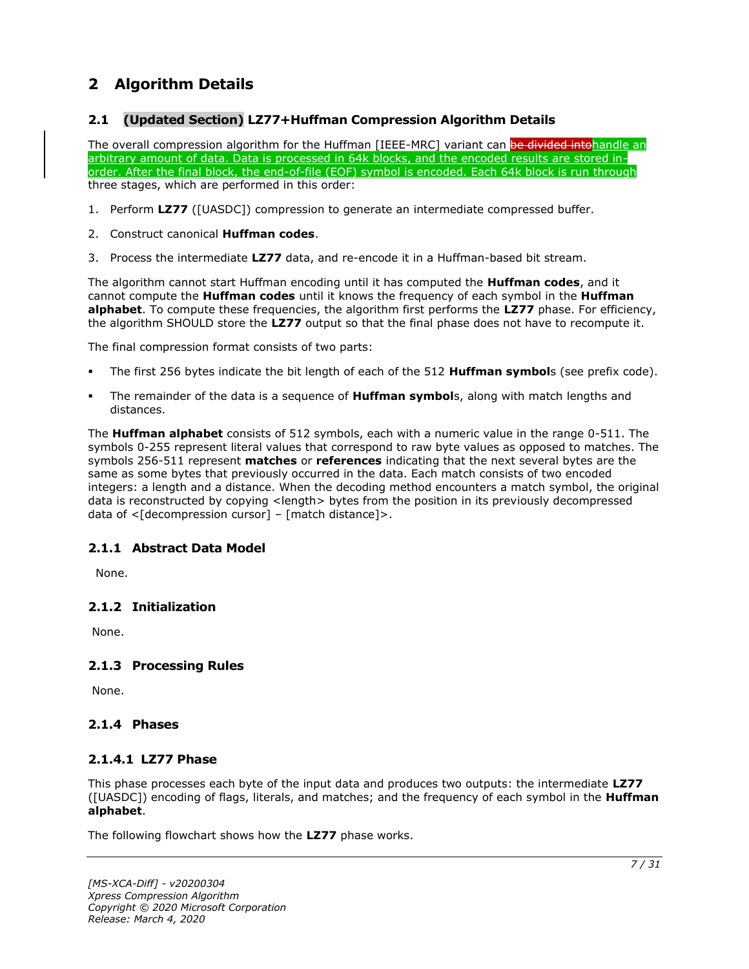# <span id="page-6-0"></span>**2 Algorithm Details**

### <span id="page-6-1"></span>**2.1 (Updated Section) LZ77+Huffman Compression Algorithm Details**

The overall compression algorithm for the Huffman [IEEE-MRC] variant can be divided intohandle an arbitrary amount of data. Data is processed in 64k blocks, and the encoded results are stored inorder. After the final block, the end-of-file (EOF) symbol is encoded. Each 64k block is run through three stages, which are performed in this order:

- 1. Perform **LZ77** ([UASDC]) compression to generate an intermediate compressed buffer.
- 2. Construct canonical **Huffman codes**.
- 3. Process the intermediate **LZ77** data, and re-encode it in a Huffman-based bit stream.

The algorithm cannot start Huffman encoding until it has computed the **Huffman codes**, and it cannot compute the **Huffman codes** until it knows the frequency of each symbol in the **Huffman alphabet**. To compute these frequencies, the algorithm first performs the **LZ77** phase. For efficiency, the algorithm SHOULD store the **LZ77** output so that the final phase does not have to recompute it.

The final compression format consists of two parts:

- The first 256 bytes indicate the bit length of each of the 512 **Huffman symbol**s (see prefix code).
- The remainder of the data is a sequence of **Huffman symbol**s, along with match lengths and distances.

The **Huffman alphabet** consists of 512 symbols, each with a numeric value in the range 0-511. The symbols 0-255 represent literal values that correspond to raw byte values as opposed to matches. The symbols 256-511 represent **matches** or **references** indicating that the next several bytes are the same as some bytes that previously occurred in the data. Each match consists of two encoded integers: a length and a distance. When the decoding method encounters a match symbol, the original data is reconstructed by copying <length> bytes from the position in its previously decompressed data of  $\leq$ [decompression cursor] – [match distance]>.

### <span id="page-6-2"></span>**2.1.1 Abstract Data Model**

None.

#### <span id="page-6-3"></span>**2.1.2 Initialization**

None.

#### <span id="page-6-4"></span>**2.1.3 Processing Rules**

None.

### <span id="page-6-5"></span>**2.1.4 Phases**

#### <span id="page-6-6"></span>**2.1.4.1 LZ77 Phase**

This phase processes each byte of the input data and produces two outputs: the intermediate **LZ77** ([UASDC]) encoding of flags, literals, and matches; and the frequency of each symbol in the **Huffman alphabet**.

The following flowchart shows how the **LZ77** phase works.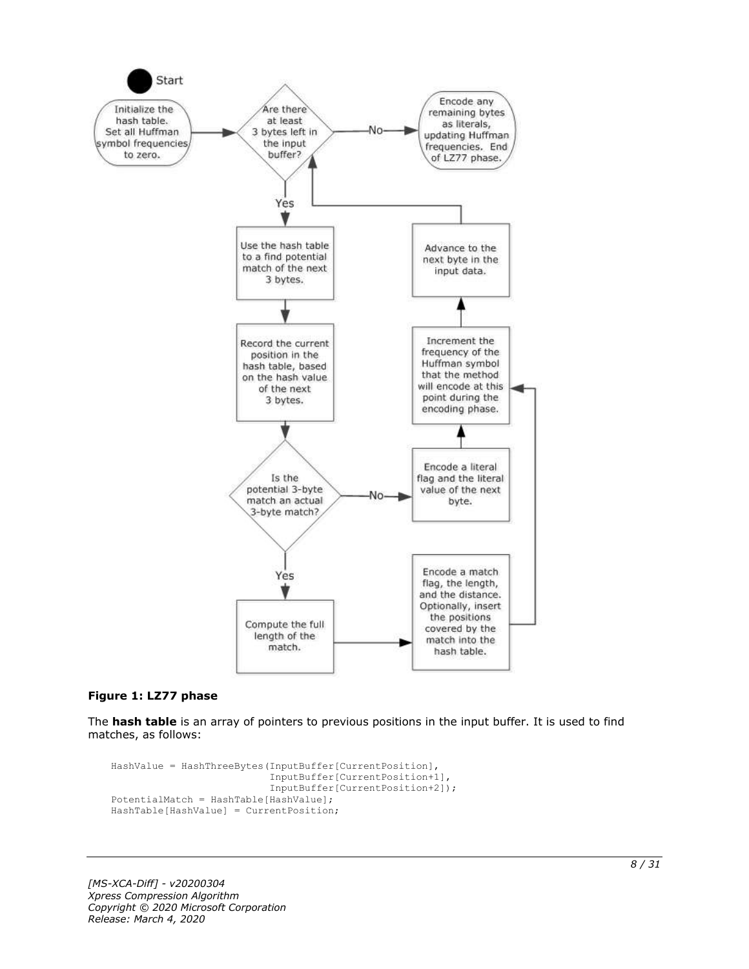

#### **Figure 1: LZ77 phase**

The **hash table** is an array of pointers to previous positions in the input buffer. It is used to find matches, as follows:

```
HashValue = HashThreeBytes(InputBuffer[CurrentPosition],
                            InputBuffer[CurrentPosition+1],
                           InputBuffer[CurrentPosition+2]);
PotentialMatch = HashTable[HashValue];
HashTable[HashValue] = CurrentPosition;
```
*[MS-XCA-Diff] - v20200304 Xpress Compression Algorithm Copyright © 2020 Microsoft Corporation Release: March 4, 2020*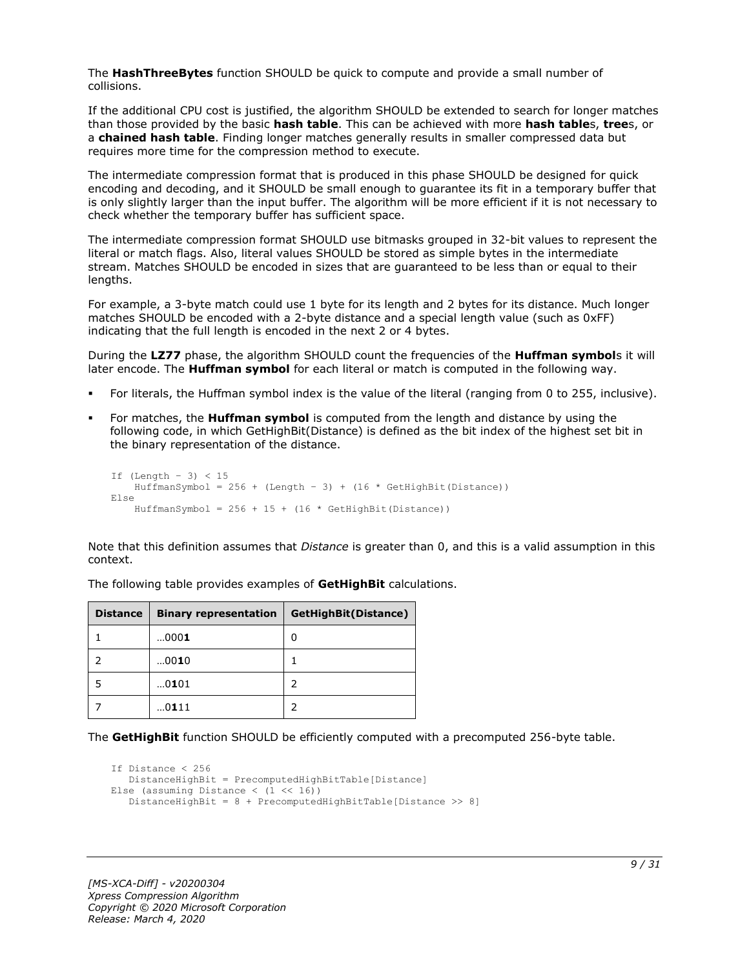The **HashThreeBytes** function SHOULD be quick to compute and provide a small number of collisions.

If the additional CPU cost is justified, the algorithm SHOULD be extended to search for longer matches than those provided by the basic **hash table**. This can be achieved with more **hash table**s, **tree**s, or a **chained hash table**. Finding longer matches generally results in smaller compressed data but requires more time for the compression method to execute.

The intermediate compression format that is produced in this phase SHOULD be designed for quick encoding and decoding, and it SHOULD be small enough to guarantee its fit in a temporary buffer that is only slightly larger than the input buffer. The algorithm will be more efficient if it is not necessary to check whether the temporary buffer has sufficient space.

The intermediate compression format SHOULD use bitmasks grouped in 32-bit values to represent the literal or match flags. Also, literal values SHOULD be stored as simple bytes in the intermediate stream. Matches SHOULD be encoded in sizes that are guaranteed to be less than or equal to their lengths.

For example, a 3-byte match could use 1 byte for its length and 2 bytes for its distance. Much longer matches SHOULD be encoded with a 2-byte distance and a special length value (such as 0xFF) indicating that the full length is encoded in the next 2 or 4 bytes.

During the **LZ77** phase, the algorithm SHOULD count the frequencies of the **Huffman symbol**s it will later encode. The **Huffman symbol** for each literal or match is computed in the following way.

- For literals, the Huffman symbol index is the value of the literal (ranging from 0 to 255, inclusive).
- For matches, the **Huffman symbol** is computed from the length and distance by using the following code, in which GetHighBit(Distance) is defined as the bit index of the highest set bit in the binary representation of the distance.

```
If (Lenqth - 3) < 15HuffmanSymbol = 256 + (Length - 3) + (16 * GetHighBit(Distance))Else
    HuffmanSymbol = 256 + 15 + (16 * \text{GetHighBit}(\text{Distance}))
```
Note that this definition assumes that *Distance* is greater than 0, and this is a valid assumption in this context.

| <b>Distance</b> | <b>Binary representation</b> | GetHighBit(Distance) |
|-----------------|------------------------------|----------------------|
|                 | 0001                         | 0                    |
|                 | 0010                         |                      |
|                 | 0101                         |                      |
|                 | 0111                         |                      |

The following table provides examples of **GetHighBit** calculations.

The **GetHighBit** function SHOULD be efficiently computed with a precomputed 256-byte table.

```
If Distance < 256
    DistanceHighBit = PrecomputedHighBitTable[Distance]
Else (assuming Distance \langle (1 \langle 16))
    DistanceHighBit = 8 + PrecomputedHighBitTable[Distance >> 8]
```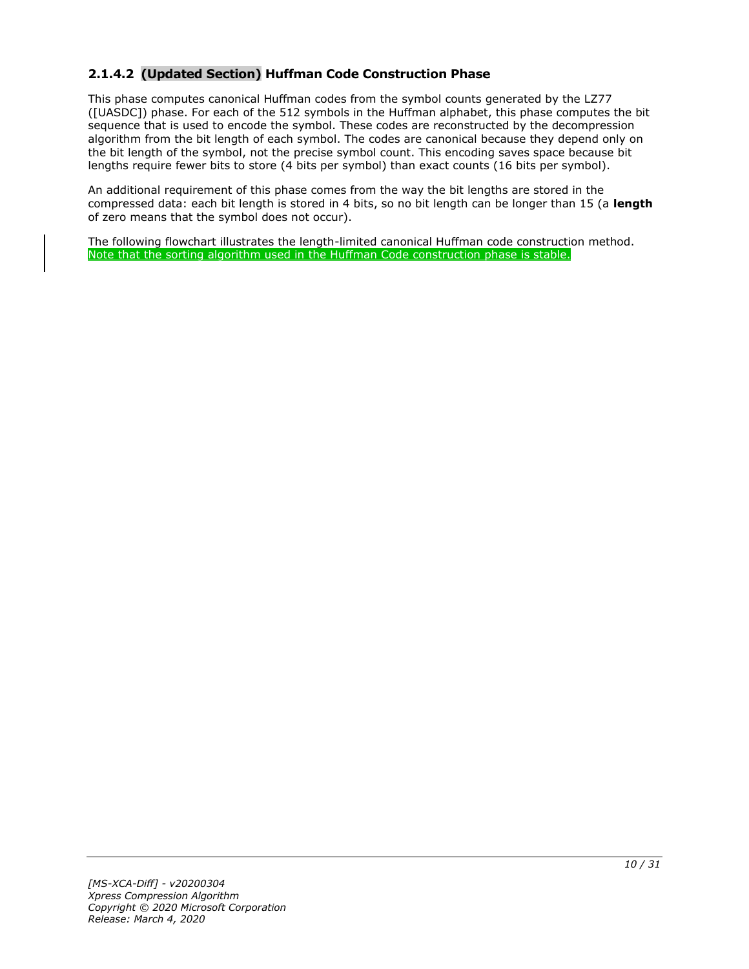### <span id="page-9-0"></span>**2.1.4.2 (Updated Section) Huffman Code Construction Phase**

This phase computes canonical Huffman codes from the symbol counts generated by the LZ77 ([UASDC]) phase. For each of the 512 symbols in the Huffman alphabet, this phase computes the bit sequence that is used to encode the symbol. These codes are reconstructed by the decompression algorithm from the bit length of each symbol. The codes are canonical because they depend only on the bit length of the symbol, not the precise symbol count. This encoding saves space because bit lengths require fewer bits to store (4 bits per symbol) than exact counts (16 bits per symbol).

An additional requirement of this phase comes from the way the bit lengths are stored in the compressed data: each bit length is stored in 4 bits, so no bit length can be longer than 15 (a **length** of zero means that the symbol does not occur).

The following flowchart illustrates the length-limited canonical Huffman code construction method. Note that the sorting algorithm used in the Huffman Code construction phase is stable.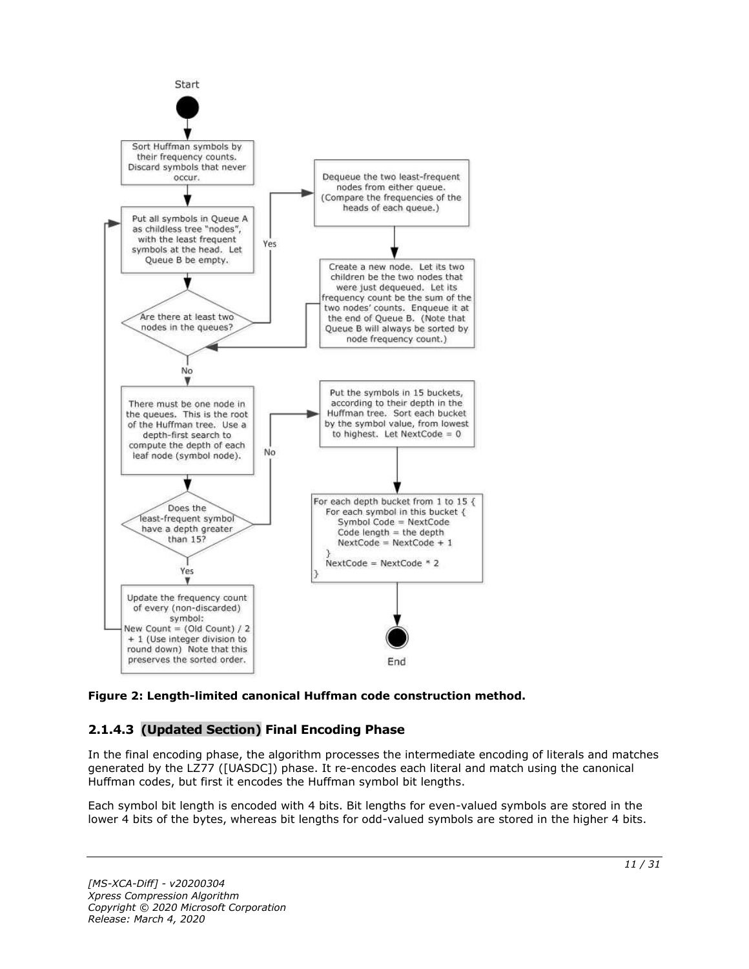

### **Figure 2: Length-limited canonical Huffman code construction method.**

### <span id="page-10-0"></span>**2.1.4.3 (Updated Section) Final Encoding Phase**

In the final encoding phase, the algorithm processes the intermediate encoding of literals and matches generated by the LZ77 ([UASDC]) phase. It re-encodes each literal and match using the canonical Huffman codes, but first it encodes the Huffman symbol bit lengths.

Each symbol bit length is encoded with 4 bits. Bit lengths for even-valued symbols are stored in the lower 4 bits of the bytes, whereas bit lengths for odd-valued symbols are stored in the higher 4 bits.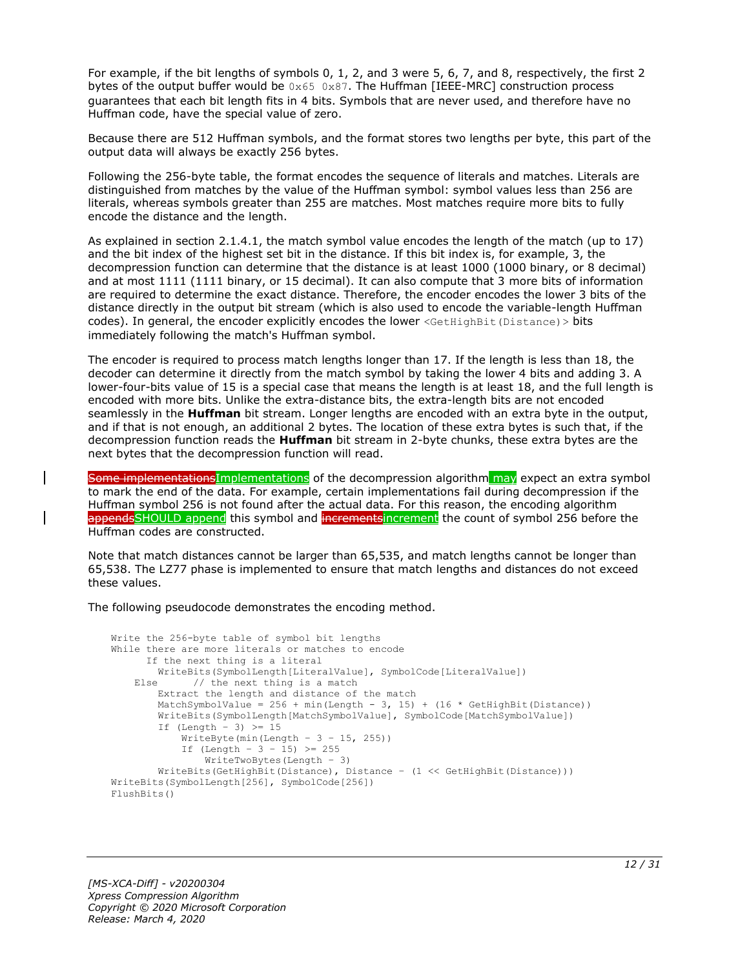For example, if the bit lengths of symbols 0, 1, 2, and 3 were 5, 6, 7, and 8, respectively, the first 2 bytes of the output buffer would be  $0 \times 65$  0x87. The Huffman [IEEE-MRC] construction process guarantees that each bit length fits in 4 bits. Symbols that are never used, and therefore have no Huffman code, have the special value of zero.

Because there are 512 Huffman symbols, and the format stores two lengths per byte, this part of the output data will always be exactly 256 bytes.

Following the 256-byte table, the format encodes the sequence of literals and matches. Literals are distinguished from matches by the value of the Huffman symbol: symbol values less than 256 are literals, whereas symbols greater than 255 are matches. Most matches require more bits to fully encode the distance and the length.

As explained in section 2.1.4.1, the match symbol value encodes the length of the match (up to 17) and the bit index of the highest set bit in the distance. If this bit index is, for example, 3, the decompression function can determine that the distance is at least 1000 (1000 binary, or 8 decimal) and at most 1111 (1111 binary, or 15 decimal). It can also compute that 3 more bits of information are required to determine the exact distance. Therefore, the encoder encodes the lower 3 bits of the distance directly in the output bit stream (which is also used to encode the variable-length Huffman codes). In general, the encoder explicitly encodes the lower <GetHighBit(Distance) > bits immediately following the match's Huffman symbol.

The encoder is required to process match lengths longer than 17. If the length is less than 18, the decoder can determine it directly from the match symbol by taking the lower 4 bits and adding 3. A lower-four-bits value of 15 is a special case that means the length is at least 18, and the full length is encoded with more bits. Unlike the extra-distance bits, the extra-length bits are not encoded seamlessly in the **Huffman** bit stream. Longer lengths are encoded with an extra byte in the output, and if that is not enough, an additional 2 bytes. The location of these extra bytes is such that, if the decompression function reads the **Huffman** bit stream in 2-byte chunks, these extra bytes are the next bytes that the decompression function will read.

Some implementations Implementations of the decompression algorithm may expect an extra symbol to mark the end of the data. For example, certain implementations fail during decompression if the Huffman symbol 256 is not found after the actual data. For this reason, the encoding algorithm appendsSHOULD append this symbol and incrementsincrement the count of symbol 256 before the Huffman codes are constructed.

Note that match distances cannot be larger than 65,535, and match lengths cannot be longer than 65,538. The LZ77 phase is implemented to ensure that match lengths and distances do not exceed these values.

The following pseudocode demonstrates the encoding method.

```
Write the 256-byte table of symbol bit lengths
While there are more literals or matches to encode
       If the next thing is a literal
    WriteBits(SymbolLength[LiteralValue], SymbolCode[LiteralValue])<br>E1se // the next thing is a match
             1/ the next thing is a match
         Extract the length and distance of the match
        MatchSymbolValue = 256 + min(Length - 3, 15) + (16 * GetHighBit(Distance))
         WriteBits(SymbolLength[MatchSymbolValue], SymbolCode[MatchSymbolValue])
        If (Lenqth - 3) \geq 15WriteByte(min(Length - 3 - 15, 255))
            If (Length - 3 - 15) >= 255
                 WriteTwoBytes(Length – 3)
         WriteBits(GetHighBit(Distance), Distance – (1 << GetHighBit(Distance)))
WriteBits(SymbolLength[256], SymbolCode[256])
FlushBits()
```
*[MS-XCA-Diff] - v20200304 Xpress Compression Algorithm Copyright © 2020 Microsoft Corporation Release: March 4, 2020*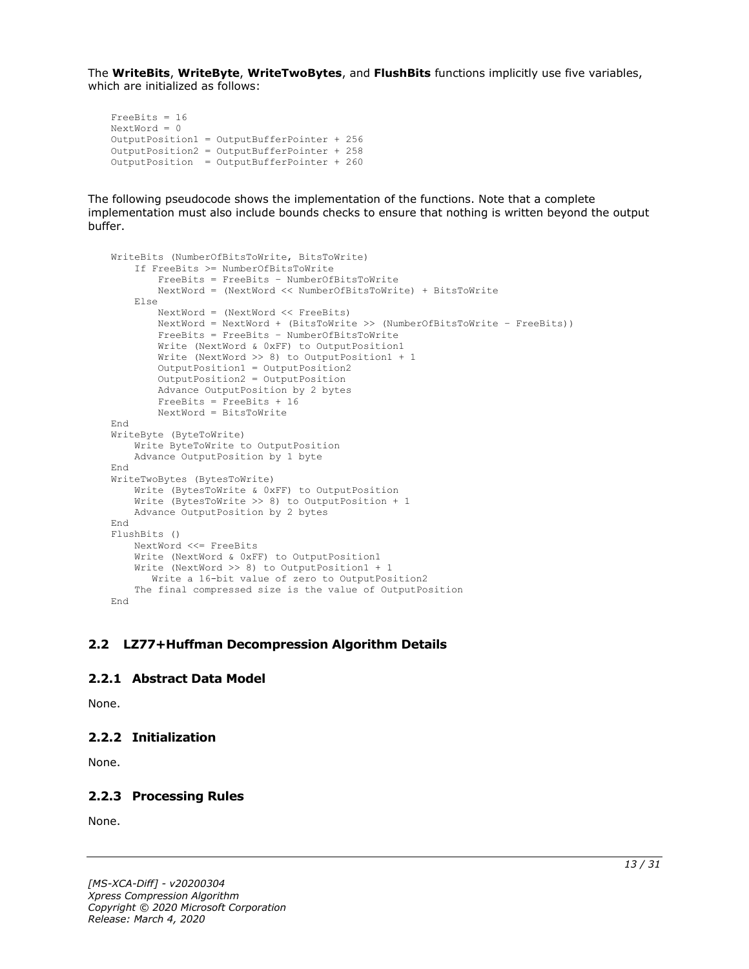The **WriteBits**, **WriteByte**, **WriteTwoBytes**, and **FlushBits** functions implicitly use five variables, which are initialized as follows:

```
FreeBits = 16
NextWord = 0
OutputPosition1 = OutputBufferPointer + 256
OutputPosition2 = OutputBufferPointer + 258 
OutputPosition = OutputBufferPointer + 260
```
The following pseudocode shows the implementation of the functions. Note that a complete implementation must also include bounds checks to ensure that nothing is written beyond the output buffer.

```
WriteBits (NumberOfBitsToWrite, BitsToWrite)
    If FreeBits >= NumberOfBitsToWrite
         FreeBits = FreeBits – NumberOfBitsToWrite
         NextWord = (NextWord << NumberOfBitsToWrite) + BitsToWrite
     Else
         NextWord = (NextWord << FreeBits)
 NextWord = NextWord + (BitsToWrite >> (NumberOfBitsToWrite – FreeBits))
 FreeBits = FreeBits – NumberOfBitsToWrite
         Write (NextWord & 0xFF) to OutputPosition1
         Write (NextWord >> 8) to OutputPosition1 + 1
         OutputPosition1 = OutputPosition2
         OutputPosition2 = OutputPosition
         Advance OutputPosition by 2 bytes
         FreeBits = FreeBits + 16
         NextWord = BitsToWrite
End
WriteByte (ByteToWrite)
    Write ByteToWrite to OutputPosition
    Advance OutputPosition by 1 byte
End
WriteTwoBytes (BytesToWrite)
     Write (BytesToWrite & 0xFF) to OutputPosition
     Write (BytesToWrite >> 8) to OutputPosition + 1
     Advance OutputPosition by 2 bytes
End
FlushBits ()
    NextWord <<= FreeBits
     Write (NextWord & 0xFF) to OutputPosition1
    Write (NextWord >> 8) to OutputPosition1 + 1
       Write a 16-bit value of zero to OutputPosition2
     The final compressed size is the value of OutputPosition
End
```
#### <span id="page-12-0"></span>**2.2 LZ77+Huffman Decompression Algorithm Details**

#### <span id="page-12-1"></span>**2.2.1 Abstract Data Model**

None.

### <span id="page-12-2"></span>**2.2.2 Initialization**

None.

### <span id="page-12-3"></span>**2.2.3 Processing Rules**

None.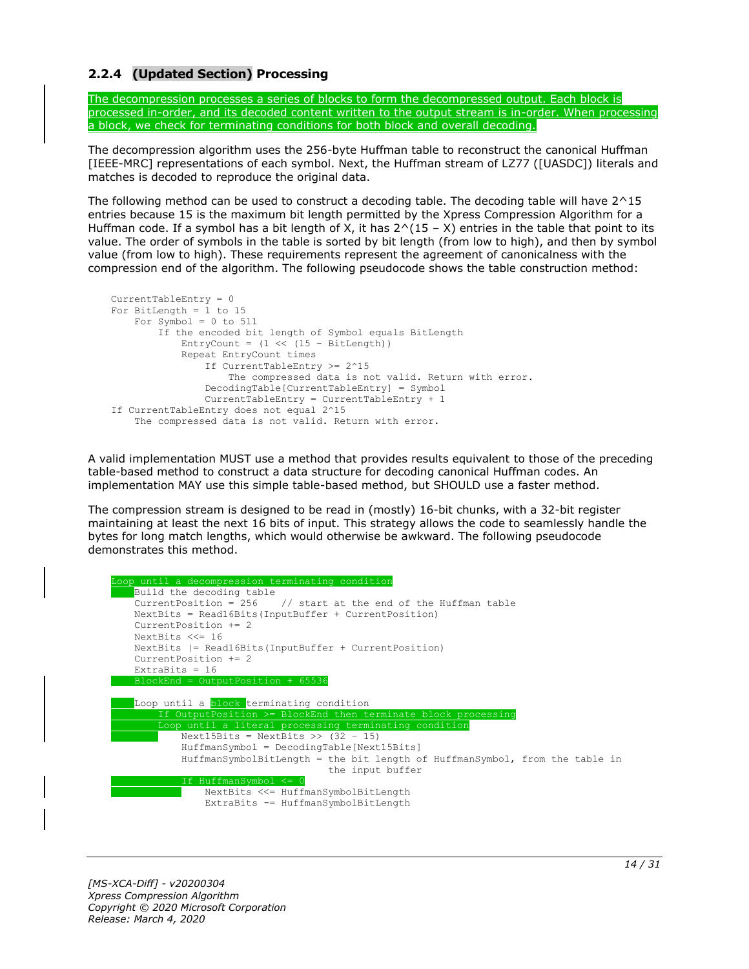### <span id="page-13-0"></span>**2.2.4 (Updated Section) Processing**

The decompression processes a series of blocks to form the decompressed output. Each block is processed in-order, and its decoded content written to the output stream is in-order. When processing a block, we check for terminating conditions for both block and overall decoding.

The decompression algorithm uses the 256-byte Huffman table to reconstruct the canonical Huffman [IEEE-MRC] representations of each symbol. Next, the Huffman stream of LZ77 ([UASDC]) literals and matches is decoded to reproduce the original data.

The following method can be used to construct a decoding table. The decoding table will have 2^15 entries because 15 is the maximum bit length permitted by the Xpress Compression Algorithm for a Huffman code. If a symbol has a bit length of X, it has  $2^(15 - X)$  entries in the table that point to its value. The order of symbols in the table is sorted by bit length (from low to high), and then by symbol value (from low to high). These requirements represent the agreement of canonicalness with the compression end of the algorithm. The following pseudocode shows the table construction method:

```
CurrentTableEntry = 0
For BitLength = 1 to 15
   For Symbol = 0 to 511
         If the encoded bit length of Symbol equals BitLength
            EntryCount = (1 \leq \leq 15 - \text{BitLength}) Repeat EntryCount times
                 If CurrentTableEntry >= 2^15
                     The compressed data is not valid. Return with error.
                 DecodingTable[CurrentTableEntry] = Symbol
                 CurrentTableEntry = CurrentTableEntry + 1
If CurrentTableEntry does not equal 2^15
     The compressed data is not valid. Return with error.
```
A valid implementation MUST use a method that provides results equivalent to those of the preceding table-based method to construct a data structure for decoding canonical Huffman codes. An implementation MAY use this simple table-based method, but SHOULD use a faster method.

The compression stream is designed to be read in (mostly) 16-bit chunks, with a 32-bit register maintaining at least the next 16 bits of input. This strategy allows the code to seamlessly handle the bytes for long match lengths, which would otherwise be awkward. The following pseudocode demonstrates this method.

```
oop until a decompression terminating condition
   Build the decoding table
   CurrentPosition = 256 // start at the end of the Huffman table
   NextBits = Read16Bits(InputBuffer + CurrentPosition)
   CurrentPosition += 2
   NextBits <<= 16
   NextBits |= Read16Bits(InputBuffer + CurrentPosition)
   CurrentPosition += 2
  ExtraBits = 16 BlockEnd = OutputPosition + 65536
   Loop until a block terminating condition
        If OutputPosition >= BlockEnd then terminate block processing
       Loop until a literal processing terminating condition
          Next15Bits = NextBits \gg (32 - 15) HuffmanSymbol = DecodingTable[Next15Bits]
           HuffmanSymbolBitLength = the bit length of HuffmanSymbol, from the table in
                                     the input buffer
                   ansymbo
               NextBits <<= HuffmanSymbolBitLength
               ExtraBits -= HuffmanSymbolBitLength
```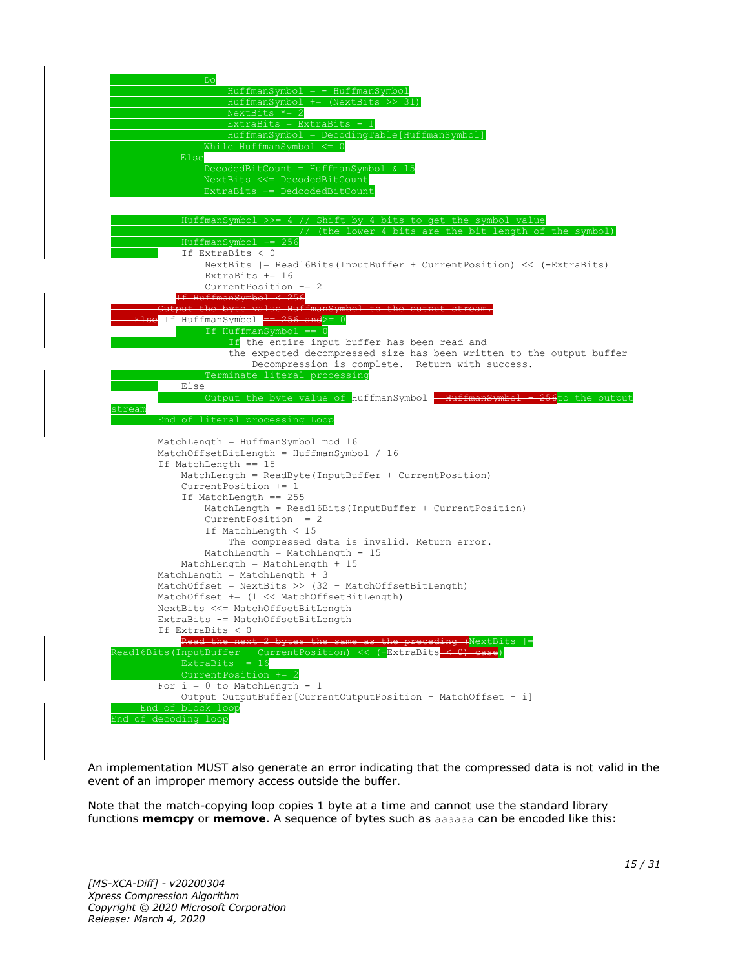

An implementation MUST also generate an error indicating that the compressed data is not valid in the event of an improper memory access outside the buffer.

Note that the match-copying loop copies 1 byte at a time and cannot use the standard library functions **memcpy** or **memove**. A sequence of bytes such as aaaaaa can be encoded like this: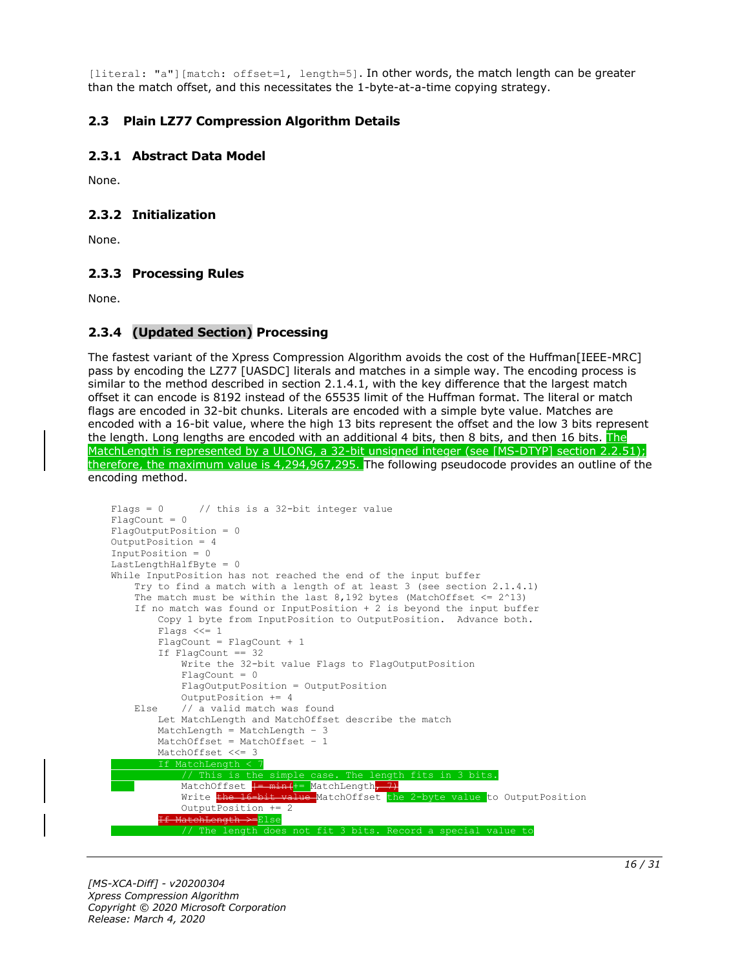[literal: "a"][match: offset=1, length=5]. In other words, the match length can be greater than the match offset, and this necessitates the 1-byte-at-a-time copying strategy.

#### <span id="page-15-1"></span><span id="page-15-0"></span>**2.3 Plain LZ77 Compression Algorithm Details**

#### **2.3.1 Abstract Data Model**

None.

#### <span id="page-15-2"></span>**2.3.2 Initialization**

None.

#### <span id="page-15-3"></span>**2.3.3 Processing Rules**

None.

#### <span id="page-15-4"></span>**2.3.4 (Updated Section) Processing**

The fastest variant of the Xpress Compression Algorithm avoids the cost of the Huffman[IEEE-MRC] pass by encoding the LZ77 [UASDC] literals and matches in a simple way. The encoding process is similar to the method described in section 2.1.4.1, with the key difference that the largest match offset it can encode is 8192 instead of the 65535 limit of the Huffman format. The literal or match flags are encoded in 32-bit chunks. Literals are encoded with a simple byte value. Matches are encoded with a 16-bit value, where the high 13 bits represent the offset and the low 3 bits represent the length. Long lengths are encoded with an additional 4 bits, then 8 bits, and then 16 bits. The MatchLength is represented by a ULONG, a 32-bit unsigned integer (see [MS-DTYP] section 2.2.51); therefore, the maximum value is 4,294,967,295. The following pseudocode provides an outline of the encoding method.

```
Flags = 0 // this is a 32-bit integer value
FlagCount = 0
FlagOutputPosition = 0
OutputPosition = 4
InputPosition = 0
LastLengthHalfByte = 0
While InputPosition has not reached the end of the input buffer
     Try to find a match with a length of at least 3 (see section 2.1.4.1)
    The match must be within the last 8,192 bytes (MatchOffset \leq 2^13)
     If no match was found or InputPosition + 2 is beyond the input buffer
         Copy 1 byte from InputPosition to OutputPosition. Advance both.
         Flags <<= 1
         FlagCount = FlagCount + 1
         If FlagCount == 32
             Write the 32-bit value Flags to FlagOutputPosition
            Fla<sub>q</sub>Count = 0 FlagOutputPosition = OutputPosition
             OutputPosition += 4
    Else // a valid match was found
         Let MatchLength and MatchOffset describe the match
         MatchLength = MatchLength – 3
         MatchOffset = MatchOffset – 1
         MatchOffset <<= 3
           MatchLength <
                This is the simple case. The length
            MatchOffset \frac{1-\min(\frac{1}{2} - \text{MatchLength})}{\frac{1}{2}}Write the 16-bit value MatchOffset the 2-byte value to OutputPosition
             OutputPosition += 2
<del>If MatchLength >=</del>Else
                                     fit 3 bits. Record a special value to
```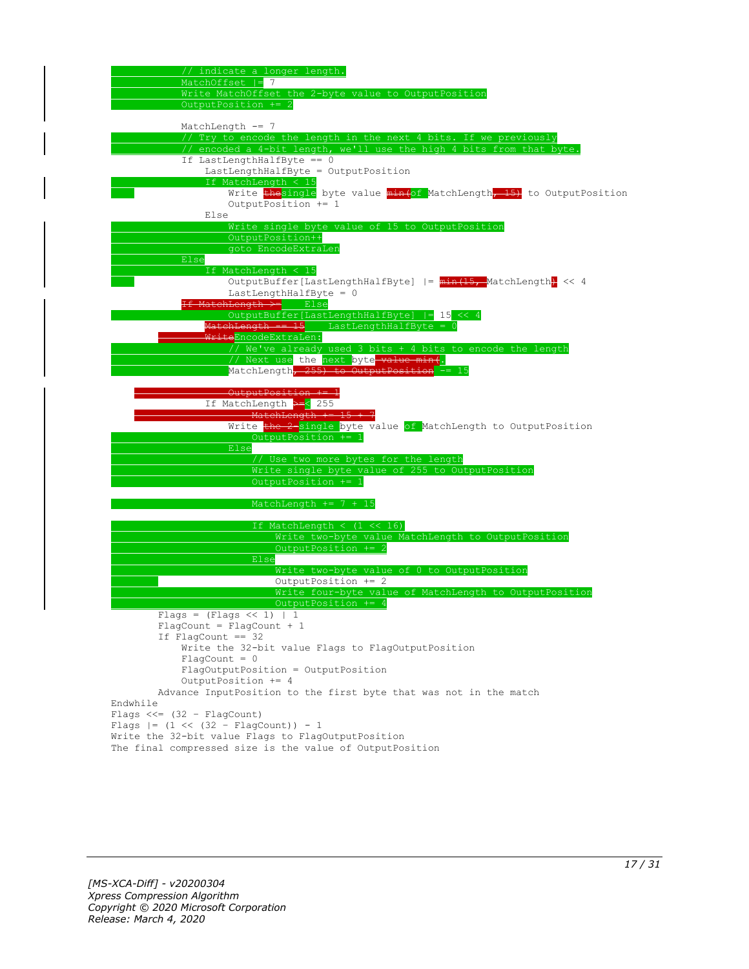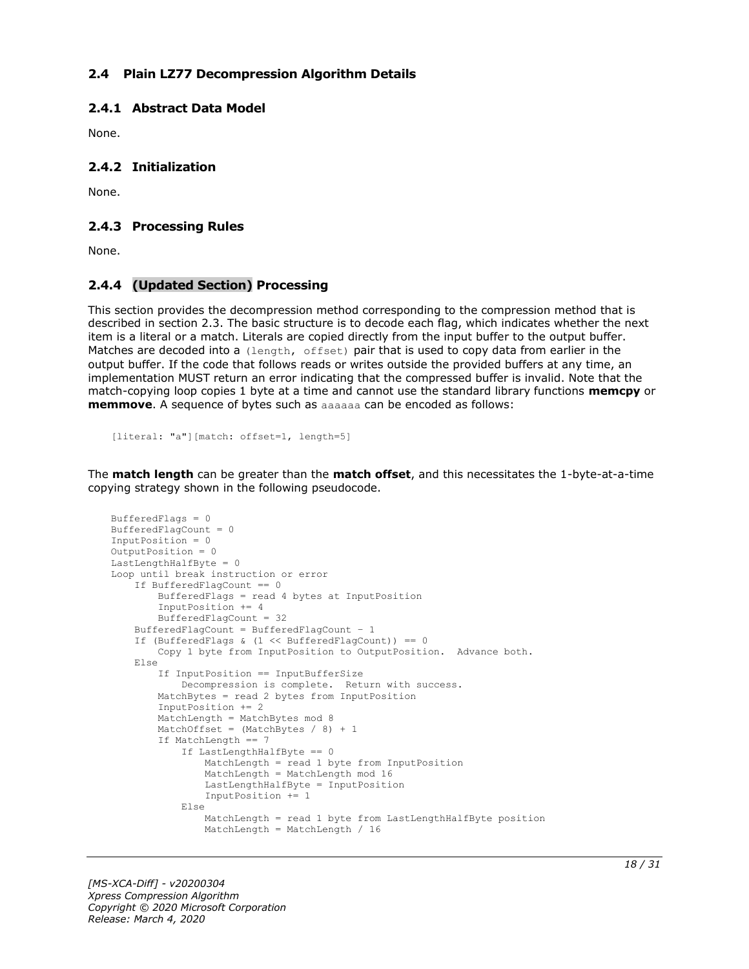#### <span id="page-17-0"></span>**2.4 Plain LZ77 Decompression Algorithm Details**

#### <span id="page-17-1"></span>**2.4.1 Abstract Data Model**

None.

#### <span id="page-17-2"></span>**2.4.2 Initialization**

None.

#### <span id="page-17-3"></span>**2.4.3 Processing Rules**

None.

#### <span id="page-17-4"></span>**2.4.4 (Updated Section) Processing**

This section provides the decompression method corresponding to the compression method that is described in section 2.3. The basic structure is to decode each flag, which indicates whether the next item is a literal or a match. Literals are copied directly from the input buffer to the output buffer. Matches are decoded into a (length, offset) pair that is used to copy data from earlier in the output buffer. If the code that follows reads or writes outside the provided buffers at any time, an implementation MUST return an error indicating that the compressed buffer is invalid. Note that the match-copying loop copies 1 byte at a time and cannot use the standard library functions **memcpy** or **memmove**. A sequence of bytes such as aaaaaa can be encoded as follows:

```
[literal: "a"][match: offset=1, length=5]
```
The **match length** can be greater than the **match offset**, and this necessitates the 1-byte-at-a-time copying strategy shown in the following pseudocode.

```
BufferedFlags = 0
BufferedFlagCount = 0
InputPosition = 0
OutputPosition = 0
LastLengthHalfByte = 0Loop until break instruction or error
     If BufferedFlagCount == 0
         BufferedFlags = read 4 bytes at InputPosition
         InputPosition += 4
         BufferedFlagCount = 32
     BufferedFlagCount = BufferedFlagCount – 1
     If (BufferedFlags & (1 << BufferedFlagCount)) == 0
         Copy 1 byte from InputPosition to OutputPosition. Advance both.
     Else
         If InputPosition == InputBufferSize
             Decompression is complete. Return with success.
         MatchBytes = read 2 bytes from InputPosition
         InputPosition += 2
         MatchLength = MatchBytes mod 8
        MatchOffset = (MatchBytes / 8) + 1 If MatchLength == 7
             If LastLengthHalfByte == 0
                 MatchLength = read 1 byte from InputPosition
                 MatchLength = MatchLength mod 16
                LastLengthHalfByte = InputPosition
                 InputPosition += 1
             Else
                 MatchLength = read 1 byte from LastLengthHalfByte position
                 MatchLength = MatchLength / 16
```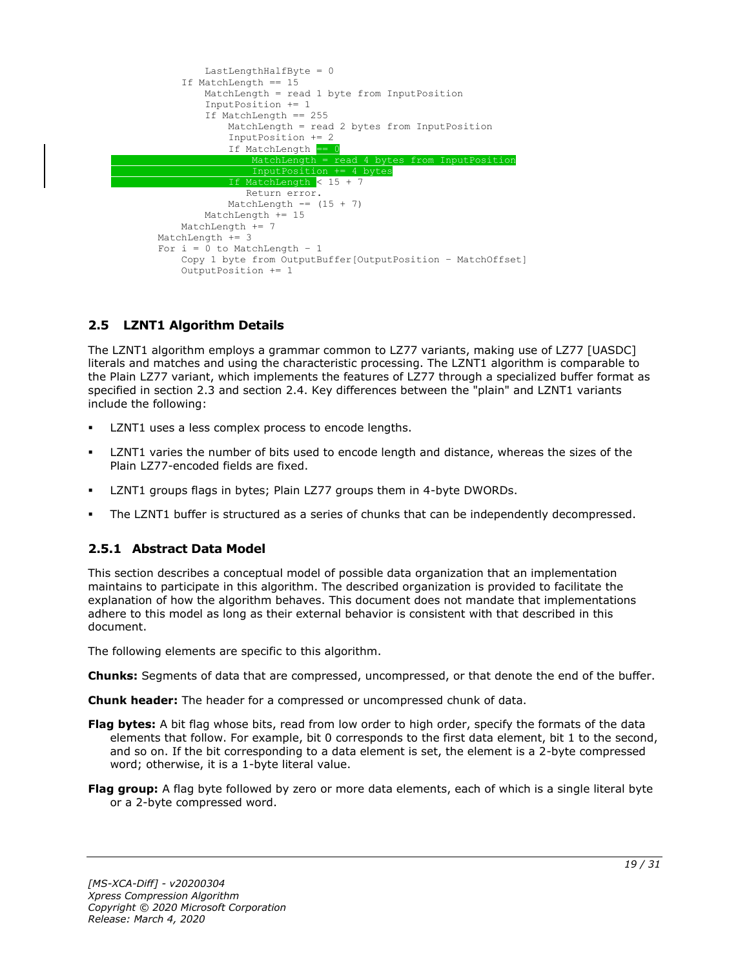

### <span id="page-18-0"></span>**2.5 LZNT1 Algorithm Details**

The LZNT1 algorithm employs a grammar common to LZ77 variants, making use of LZ77 [UASDC] literals and matches and using the characteristic processing. The LZNT1 algorithm is comparable to the Plain LZ77 variant, which implements the features of LZ77 through a specialized buffer format as specified in section 2.3 and section 2.4. Key differences between the "plain" and LZNT1 variants include the following:

- LZNT1 uses a less complex process to encode lengths.
- LZNT1 varies the number of bits used to encode length and distance, whereas the sizes of the Plain LZ77-encoded fields are fixed.
- LZNT1 groups flags in bytes; Plain LZ77 groups them in 4-byte DWORDs.
- The LZNT1 buffer is structured as a series of chunks that can be independently decompressed.

### <span id="page-18-1"></span>**2.5.1 Abstract Data Model**

This section describes a conceptual model of possible data organization that an implementation maintains to participate in this algorithm. The described organization is provided to facilitate the explanation of how the algorithm behaves. This document does not mandate that implementations adhere to this model as long as their external behavior is consistent with that described in this document.

The following elements are specific to this algorithm.

**Chunks:** Segments of data that are compressed, uncompressed, or that denote the end of the buffer.

**Chunk header:** The header for a compressed or uncompressed chunk of data.

- **Flag bytes:** A bit flag whose bits, read from low order to high order, specify the formats of the data elements that follow. For example, bit 0 corresponds to the first data element, bit 1 to the second, and so on. If the bit corresponding to a data element is set, the element is a 2-byte compressed word; otherwise, it is a 1-byte literal value.
- **Flag group:** A flag byte followed by zero or more data elements, each of which is a single literal byte or a 2-byte compressed word.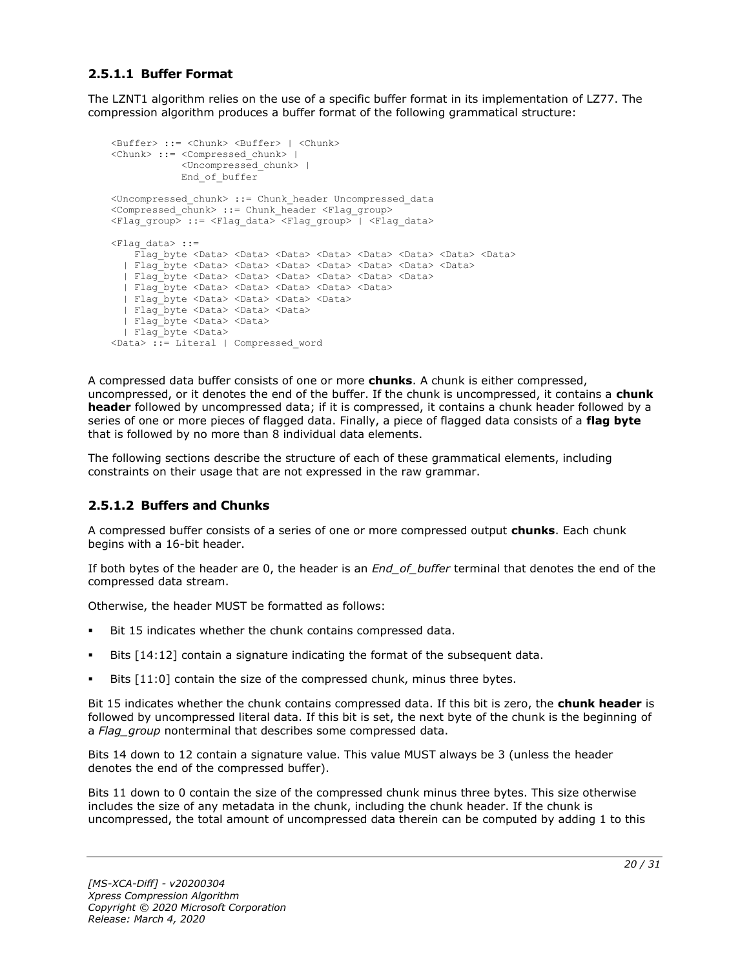### <span id="page-19-0"></span>**2.5.1.1 Buffer Format**

The LZNT1 algorithm relies on the use of a specific buffer format in its implementation of LZ77. The compression algorithm produces a buffer format of the following grammatical structure:

```
<Buffer> ::= <Chunk> <Buffer> | <Chunk>
<Chunk> ::= <Compressed_chunk> | 
            <Uncompressed_chunk> |
            End_of_buffer
<Uncompressed_chunk> ::= Chunk_header Uncompressed_data
<Compressed_chunk> ::= Chunk_header <Flag_group>
<Flag_group> ::= <Flag_data> <Flag_group> | <Flag_data>
<Flag_data> ::=
   Flag byte <Data> <Data> <Data> <Data> <Data> <Data> <Data> <Data> <Data>
   | Flag_byte <Data> <Data> <Data> <Data> <Data> <Data> <Data>
  | Flag_byte <Data> <Data> <Data> <Data> <Data> <Data>
  | Flag_byte <Data> <Data> <Data> <Data> <Data>
  | Flag_byte <Data> <Data> <Data> <Data>
  | Flag_byte <Data> <Data> <Data> 
  | Flag_byte <Data> <Data>
  | Flag_byte <Data> 
<Data> ::= Literal | Compressed_word
```
A compressed data buffer consists of one or more **chunks**. A chunk is either compressed, uncompressed, or it denotes the end of the buffer. If the chunk is uncompressed, it contains a **chunk header** followed by uncompressed data; if it is compressed, it contains a chunk header followed by a series of one or more pieces of flagged data. Finally, a piece of flagged data consists of a **flag byte** that is followed by no more than 8 individual data elements.

The following sections describe the structure of each of these grammatical elements, including constraints on their usage that are not expressed in the raw grammar.

#### <span id="page-19-1"></span>**2.5.1.2 Buffers and Chunks**

A compressed buffer consists of a series of one or more compressed output **chunks**. Each chunk begins with a 16-bit header.

If both bytes of the header are 0, the header is an *End\_of\_buffer* terminal that denotes the end of the compressed data stream.

Otherwise, the header MUST be formatted as follows:

- Bit 15 indicates whether the chunk contains compressed data.
- Bits  $[14:12]$  contain a signature indicating the format of the subsequent data.
- Bits [11:0] contain the size of the compressed chunk, minus three bytes.

Bit 15 indicates whether the chunk contains compressed data. If this bit is zero, the **chunk header** is followed by uncompressed literal data. If this bit is set, the next byte of the chunk is the beginning of a *Flag\_group* nonterminal that describes some compressed data.

Bits 14 down to 12 contain a signature value. This value MUST always be 3 (unless the header denotes the end of the compressed buffer).

Bits 11 down to 0 contain the size of the compressed chunk minus three bytes. This size otherwise includes the size of any metadata in the chunk, including the chunk header. If the chunk is uncompressed, the total amount of uncompressed data therein can be computed by adding 1 to this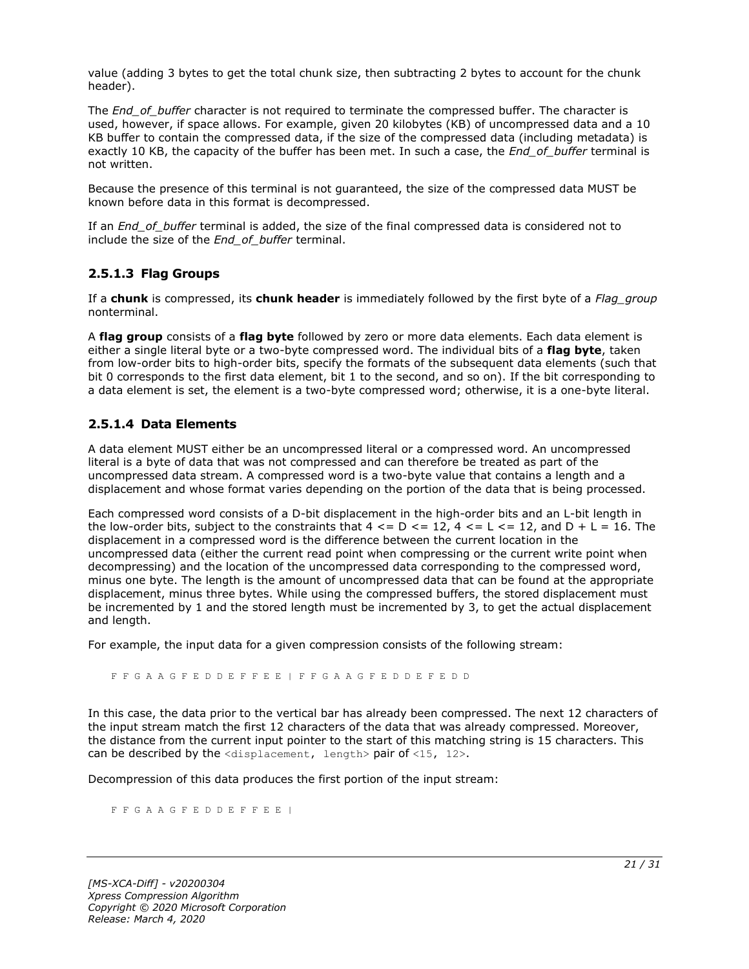value (adding 3 bytes to get the total chunk size, then subtracting 2 bytes to account for the chunk header).

The *End* of buffer character is not required to terminate the compressed buffer. The character is used, however, if space allows. For example, given 20 kilobytes (KB) of uncompressed data and a 10 KB buffer to contain the compressed data, if the size of the compressed data (including metadata) is exactly 10 KB, the capacity of the buffer has been met. In such a case, the *End\_of\_buffer* terminal is not written.

Because the presence of this terminal is not guaranteed, the size of the compressed data MUST be known before data in this format is decompressed.

If an *End\_of\_buffer* terminal is added, the size of the final compressed data is considered not to include the size of the *End\_of\_buffer* terminal.

### <span id="page-20-0"></span>**2.5.1.3 Flag Groups**

If a **chunk** is compressed, its **chunk header** is immediately followed by the first byte of a *Flag\_group* nonterminal.

A **flag group** consists of a **flag byte** followed by zero or more data elements. Each data element is either a single literal byte or a two-byte compressed word. The individual bits of a **flag byte**, taken from low-order bits to high-order bits, specify the formats of the subsequent data elements (such that bit 0 corresponds to the first data element, bit 1 to the second, and so on). If the bit corresponding to a data element is set, the element is a two-byte compressed word; otherwise, it is a one-byte literal.

### <span id="page-20-1"></span>**2.5.1.4 Data Elements**

A data element MUST either be an uncompressed literal or a compressed word. An uncompressed literal is a byte of data that was not compressed and can therefore be treated as part of the uncompressed data stream. A compressed word is a two-byte value that contains a length and a displacement and whose format varies depending on the portion of the data that is being processed.

Each compressed word consists of a D-bit displacement in the high-order bits and an L-bit length in the low-order bits, subject to the constraints that  $4 \leq D \leq 12$ ,  $4 \leq L \leq 12$ , and  $D + L = 16$ . The displacement in a compressed word is the difference between the current location in the uncompressed data (either the current read point when compressing or the current write point when decompressing) and the location of the uncompressed data corresponding to the compressed word, minus one byte. The length is the amount of uncompressed data that can be found at the appropriate displacement, minus three bytes. While using the compressed buffers, the stored displacement must be incremented by 1 and the stored length must be incremented by 3, to get the actual displacement and length.

For example, the input data for a given compression consists of the following stream:

F F G A A G F E D D E F F E E | F F G A A G F E D D E F E D D

In this case, the data prior to the vertical bar has already been compressed. The next 12 characters of the input stream match the first 12 characters of the data that was already compressed. Moreover, the distance from the current input pointer to the start of this matching string is 15 characters. This can be described by the <displacement, length> pair of <15, 12>.

Decompression of this data produces the first portion of the input stream:

F F G A A G F E D D E F F E E |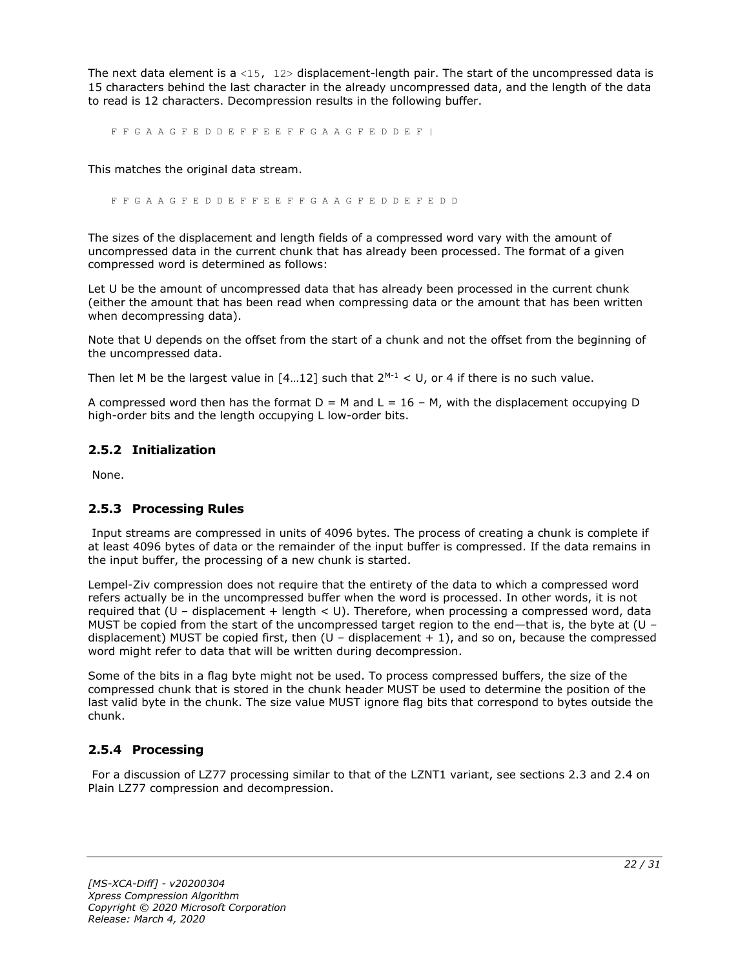The next data element is a <15,  $12$ > displacement-length pair. The start of the uncompressed data is 15 characters behind the last character in the already uncompressed data, and the length of the data to read is 12 characters. Decompression results in the following buffer.

F F G A A G F E D D E F F E E F F G A A G F E D D E F |

This matches the original data stream.

F F G A A G F E D D E F F E E F F G A A G F E D D E F E D D

The sizes of the displacement and length fields of a compressed word vary with the amount of uncompressed data in the current chunk that has already been processed. The format of a given compressed word is determined as follows:

Let U be the amount of uncompressed data that has already been processed in the current chunk (either the amount that has been read when compressing data or the amount that has been written when decompressing data).

Note that U depends on the offset from the start of a chunk and not the offset from the beginning of the uncompressed data.

Then let M be the largest value in  $[4...12]$  such that  $2^{M-1} < U$ , or 4 if there is no such value.

A compressed word then has the format  $D = M$  and  $L = 16 - M$ , with the displacement occupying D high-order bits and the length occupying L low-order bits.

#### <span id="page-21-0"></span>**2.5.2 Initialization**

None.

### <span id="page-21-1"></span>**2.5.3 Processing Rules**

Input streams are compressed in units of 4096 bytes. The process of creating a chunk is complete if at least 4096 bytes of data or the remainder of the input buffer is compressed. If the data remains in the input buffer, the processing of a new chunk is started.

Lempel-Ziv compression does not require that the entirety of the data to which a compressed word refers actually be in the uncompressed buffer when the word is processed. In other words, it is not required that (U – displacement + length < U). Therefore, when processing a compressed word, data MUST be copied from the start of the uncompressed target region to the end—that is, the byte at (U – displacement) MUST be copied first, then  $(U -$  displacement  $+1$ ), and so on, because the compressed word might refer to data that will be written during decompression.

Some of the bits in a flag byte might not be used. To process compressed buffers, the size of the compressed chunk that is stored in the chunk header MUST be used to determine the position of the last valid byte in the chunk. The size value MUST ignore flag bits that correspond to bytes outside the chunk.

### <span id="page-21-2"></span>**2.5.4 Processing**

For a discussion of LZ77 processing similar to that of the LZNT1 variant, see sections 2.3 and 2.4 on Plain LZ77 compression and decompression.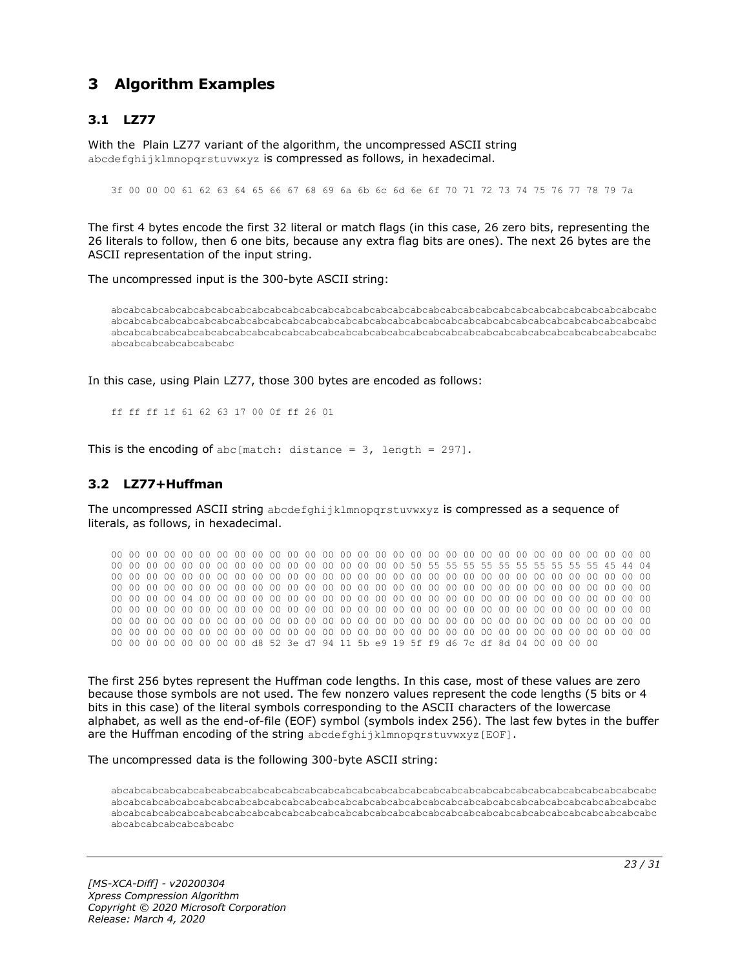# <span id="page-22-0"></span>**3 Algorithm Examples**

### <span id="page-22-1"></span>**3.1 LZ77**

With the Plain LZ77 variant of the algorithm, the uncompressed ASCII string abcdefghijklmnopgrstuvwxyz is compressed as follows, in hexadecimal.

3f 00 00 00 61 62 63 64 65 66 67 68 69 6a 6b 6c 6d 6e 6f 70 71 72 73 74 75 76 77 78 79 7a

The first 4 bytes encode the first 32 literal or match flags (in this case, 26 zero bits, representing the 26 literals to follow, then 6 one bits, because any extra flag bits are ones). The next 26 bytes are the ASCII representation of the input string.

The uncompressed input is the 300-byte ASCII string:

abcabcabcabcabcabcabcabcabcabcabcabcabcabcabcabcabcabcabcabcabcabcabcabcabcabcabcabcabcabcabc abcabcabcabcabcabcabcabcabcabcabcabcabcabcabcabcabcabcabcabcabcabcabcabcabcabcabcabcabcabcabc abcabcabcabcabcabcabcabcabcabcabcabcabcabcabcabcabcabcabcabcabcabcabcabcabcabcabcabcabcabcabc abcabcabcabcabcabcabc

In this case, using Plain LZ77, those 300 bytes are encoded as follows:

ff ff ff 1f 61 62 63 17 00 0f ff 26 01

This is the encoding of abc[match: distance =  $3$ , length = 297].

#### <span id="page-22-2"></span>**3.2 LZ77+Huffman**

The uncompressed ASCII string abcdefghijklmnopqrstuvwxyz is compressed as a sequence of literals, as follows, in hexadecimal.

00 00 00 00 00 00 00 00 00 00 00 00 00 00 00 00 00 00 00 00 00 00 00 00 00 00 00 00 00 00 00 00 00 00 00 00 00 00 00 00 00 00 00 00 00 00 00 00 50 55 55 55 55 55 55 55 55 55 55 45 44 04 00 00 00 00 00 00 00 00 00 00 00 00 00 00 00 00 00 00 00 00 00 00 00 00 00 00 00 00 00 00 00 00 00 00 00 00 00 00 00 00 00 00 00 00 00 00 00 00 00 00 00 00 00 00 00 00 00 00 00 00 00 00 00 00 00 00 04 00 00 00 00 00 00 00 00 00 00 00 00 00 00 00 00 00 00 00 00 00 00 00 00 00 00 00 00 00 00 00 00 00 00 00 00 00 00 00 00 00 00 00 00 00 00 00 00 00 00 00 00 00 00 00 00 00 00 00 00 00 00 00 00 00 00 00 00 00 00 00 00 00 00 00 00 00 00 00 00 00 00 00 00 00 00 00 00 00 00 00 00 00 00 00 00 00 00 00 00 00 00 00 00 00 00 00 00 00 00 00 00 00 00 00 00 00 00 00 00 00 00 00 00 00 00 00 d8 52 3e d7 94 11 5b e9 19 5f f9 d6 7c df 8d 04 00 00 00 00

The first 256 bytes represent the Huffman code lengths. In this case, most of these values are zero because those symbols are not used. The few nonzero values represent the code lengths (5 bits or 4 bits in this case) of the literal symbols corresponding to the ASCII characters of the lowercase alphabet, as well as the end-of-file (EOF) symbol (symbols index 256). The last few bytes in the buffer are the Huffman encoding of the string abcdefghijklmnopqrstuvwxyz[EOF].

The uncompressed data is the following 300-byte ASCII string:

abcabcabcabcabcabcabcabcabcabcabcabcabcabcabcabcabcabcabcabcabcabcabcabcabcabcabcabcabcabcabc abcabcabcabcabcabcabcabcabcabcabcabcabcabcabcabcabcabcabcabcabcabcabcabcabcabcabcabcabcabcabc abcabcabcabcabcabcabcabcabcabcabcabcabcabcabcabcabcabcabcabcabcabcabcabcabcabcabcabcabcabcabc abcabcabcabcabcabcabc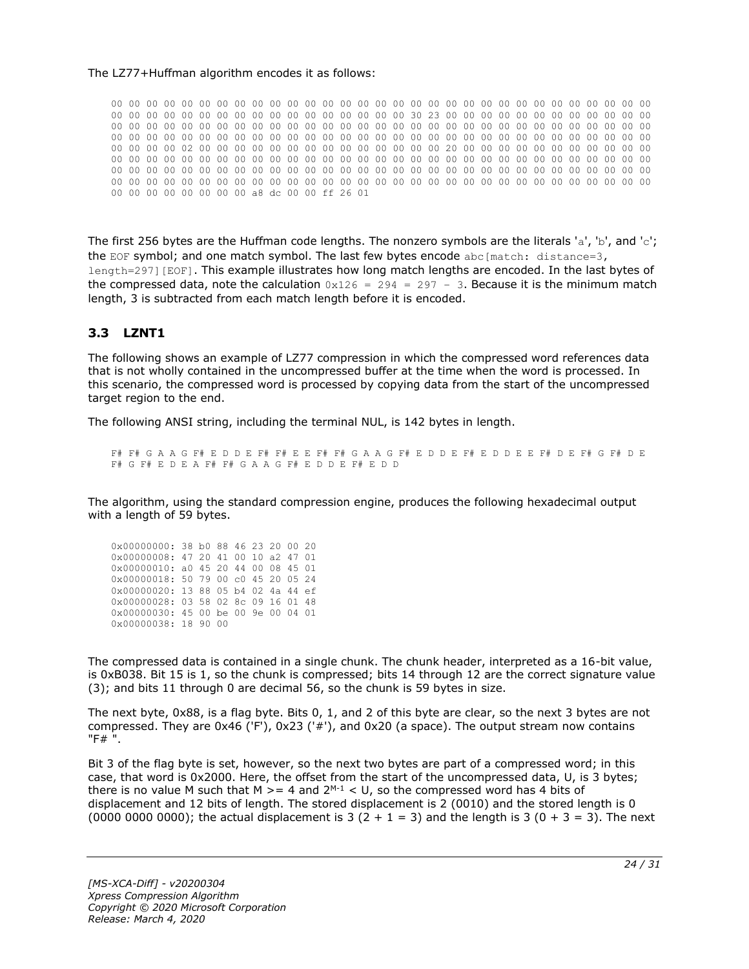#### The LZ77+Huffman algorithm encodes it as follows:

00 00 00 00 00 00 00 00 00 00 00 00 00 00 00 00 00 00 00 00 00 00 00 00 00 00 00 00 00 00 00 00 00 00 00 00 00 00 00 00 00 00 00 00 00 00 00 00 30 23 00 00 00 00 00 00 00 00 00 00 00 00 00 00 00 00 00 00 00 00 00 00 00 00 00 00 00 00 00 00 00 00 00 00 00 00 00 00 00 00 00 00 00 00 00 00 00 00 00 00 00 00 00 00 00 00 00 00 00 00 00 00 00 00 00 00 00 00 00 00 00 00 00 00 00 00 00 00 02 00 00 00 00 00 00 00 00 00 00 00 00 00 00 20 00 00 00 00 00 00 00 00 00 00 00 00 00 00 00 00 00 00 00 00 00 00 00 00 00 00 00 00 00 00 00 00 00 00 00 00 00 00 00 00 00 00 00 00 00 00 00 00 00 00 00 00 00 00 00 00 00 00 00 00 00 00 00 00 00 00 00 00 00 00 00 00 00 00 00 00 00 00 00 00 00 00 00 00 00 00 00 00 00 00 00 00 00 00 00 00 00 00 00 00 00 00 00 00 00 00 00 00 00 00 00 00 a8 dc 00 00 ff 26 01

The first 256 bytes are the Huffman code lengths. The nonzero symbols are the literals 'a', 'b', and 'c'; the EOF symbol; and one match symbol. The last few bytes encode  $abc[match: distance=3,$ length=297][EOF]. This example illustrates how long match lengths are encoded. In the last bytes of the compressed data, note the calculation  $0x126 = 294 = 297 - 3$ . Because it is the minimum match length, 3 is subtracted from each match length before it is encoded.

### <span id="page-23-0"></span>**3.3 LZNT1**

The following shows an example of LZ77 compression in which the compressed word references data that is not wholly contained in the uncompressed buffer at the time when the word is processed. In this scenario, the compressed word is processed by copying data from the start of the uncompressed target region to the end.

The following ANSI string, including the terminal NUL, is 142 bytes in length.

F# F# G A A G F# E D D E F# F# E E F# F# G A A G F# E D D E F# E D D E E F# D E F# G F# D E F# G F# E D E A F# F# G A A G F# E D D E F# E D D

The algorithm, using the standard compression engine, produces the following hexadecimal output with a length of 59 bytes.

| 0x00000000: 38 b0 88 46 23 20 00 20 |  |  |  |  |
|-------------------------------------|--|--|--|--|
| 0x00000008: 47 20 41 00 10 a2 47 01 |  |  |  |  |
| 0x00000010: a0 45 20 44 00 08 45 01 |  |  |  |  |
| 0x00000018: 50 79 00 c0 45 20 05 24 |  |  |  |  |
|                                     |  |  |  |  |
| 0x00000020: 13 88 05 b4 02 4a 44 ef |  |  |  |  |
| 0x00000028: 03 58 02 8c 09 16 01 48 |  |  |  |  |
| 0x00000030: 45 00 be 00 9e 00 04 01 |  |  |  |  |

The compressed data is contained in a single chunk. The chunk header, interpreted as a 16-bit value, is 0xB038. Bit 15 is 1, so the chunk is compressed; bits 14 through 12 are the correct signature value (3); and bits 11 through 0 are decimal 56, so the chunk is 59 bytes in size.

The next byte, 0x88, is a flag byte. Bits 0, 1, and 2 of this byte are clear, so the next 3 bytes are not compressed. They are 0x46 ('F'), 0x23 ('#'), and 0x20 (a space). The output stream now contains "F# ".

Bit 3 of the flag byte is set, however, so the next two bytes are part of a compressed word; in this case, that word is 0x2000. Here, the offset from the start of the uncompressed data, U, is 3 bytes; there is no value M such that M  $>= 4$  and  $2^{M-1} < U$ , so the compressed word has 4 bits of displacement and 12 bits of length. The stored displacement is 2 (0010) and the stored length is 0 (0000 0000 0000); the actual displacement is 3 (2 + 1 = 3) and the length is 3 (0 + 3 = 3). The next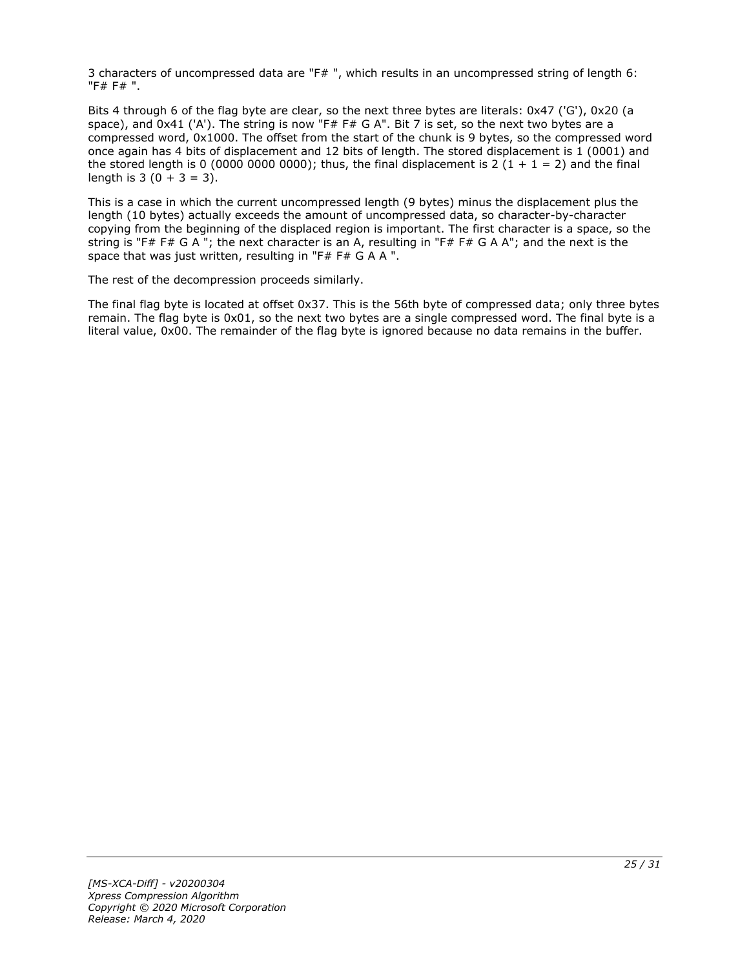3 characters of uncompressed data are "F# ", which results in an uncompressed string of length 6: "F# F# ".

Bits 4 through 6 of the flag byte are clear, so the next three bytes are literals: 0x47 ('G'), 0x20 (a space), and 0x41 ('A'). The string is now "F# F# G A". Bit 7 is set, so the next two bytes are a compressed word, 0x1000. The offset from the start of the chunk is 9 bytes, so the compressed word once again has 4 bits of displacement and 12 bits of length. The stored displacement is 1 (0001) and the stored length is 0 (0000 0000 0000); thus, the final displacement is 2 (1 + 1 = 2) and the final length is  $3(0 + 3 = 3)$ .

This is a case in which the current uncompressed length (9 bytes) minus the displacement plus the length (10 bytes) actually exceeds the amount of uncompressed data, so character-by-character copying from the beginning of the displaced region is important. The first character is a space, so the string is "F# F# G A "; the next character is an A, resulting in "F# F# G A A"; and the next is the space that was just written, resulting in "F# F# G A A ".

The rest of the decompression proceeds similarly.

The final flag byte is located at offset 0x37. This is the 56th byte of compressed data; only three bytes remain. The flag byte is 0x01, so the next two bytes are a single compressed word. The final byte is a literal value, 0x00. The remainder of the flag byte is ignored because no data remains in the buffer.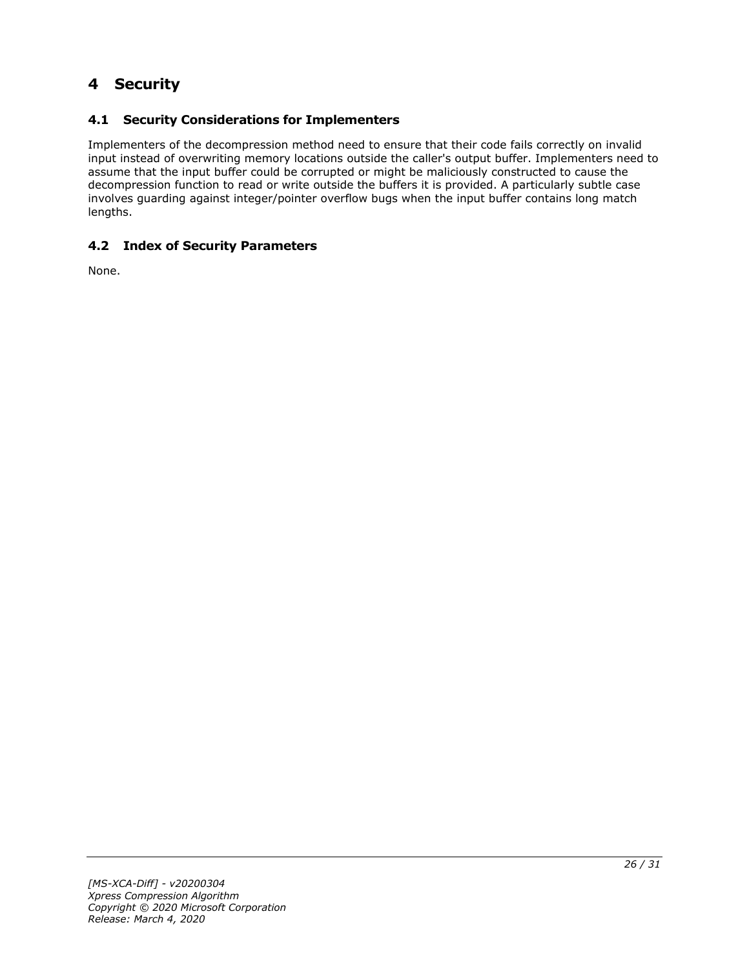# <span id="page-25-0"></span>**4 Security**

### <span id="page-25-1"></span>**4.1 Security Considerations for Implementers**

Implementers of the decompression method need to ensure that their code fails correctly on invalid input instead of overwriting memory locations outside the caller's output buffer. Implementers need to assume that the input buffer could be corrupted or might be maliciously constructed to cause the decompression function to read or write outside the buffers it is provided. A particularly subtle case involves guarding against integer/pointer overflow bugs when the input buffer contains long match lengths.

### <span id="page-25-2"></span>**4.2 Index of Security Parameters**

None.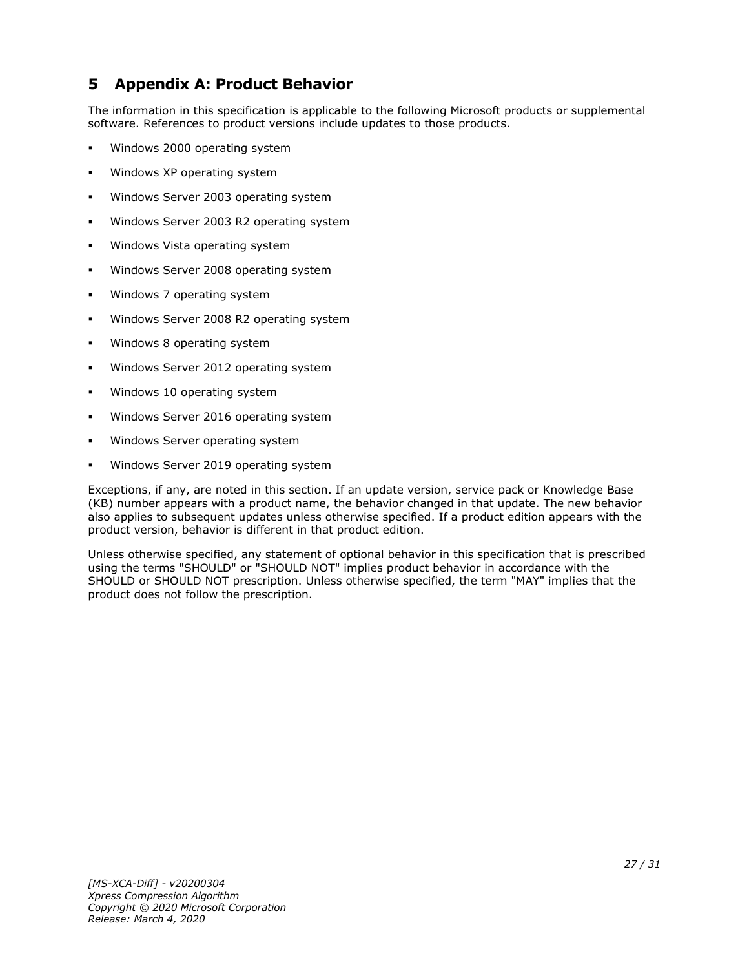### <span id="page-26-0"></span>**5 Appendix A: Product Behavior**

The information in this specification is applicable to the following Microsoft products or supplemental software. References to product versions include updates to those products.

- Windows 2000 operating system
- Windows XP operating system
- Windows Server 2003 operating system
- Windows Server 2003 R2 operating system
- Windows Vista operating system
- Windows Server 2008 operating system
- Windows 7 operating system
- Windows Server 2008 R2 operating system
- Windows 8 operating system
- Windows Server 2012 operating system
- Windows 10 operating system
- Windows Server 2016 operating system
- Windows Server operating system
- Windows Server 2019 operating system

Exceptions, if any, are noted in this section. If an update version, service pack or Knowledge Base (KB) number appears with a product name, the behavior changed in that update. The new behavior also applies to subsequent updates unless otherwise specified. If a product edition appears with the product version, behavior is different in that product edition.

Unless otherwise specified, any statement of optional behavior in this specification that is prescribed using the terms "SHOULD" or "SHOULD NOT" implies product behavior in accordance with the SHOULD or SHOULD NOT prescription. Unless otherwise specified, the term "MAY" implies that the product does not follow the prescription.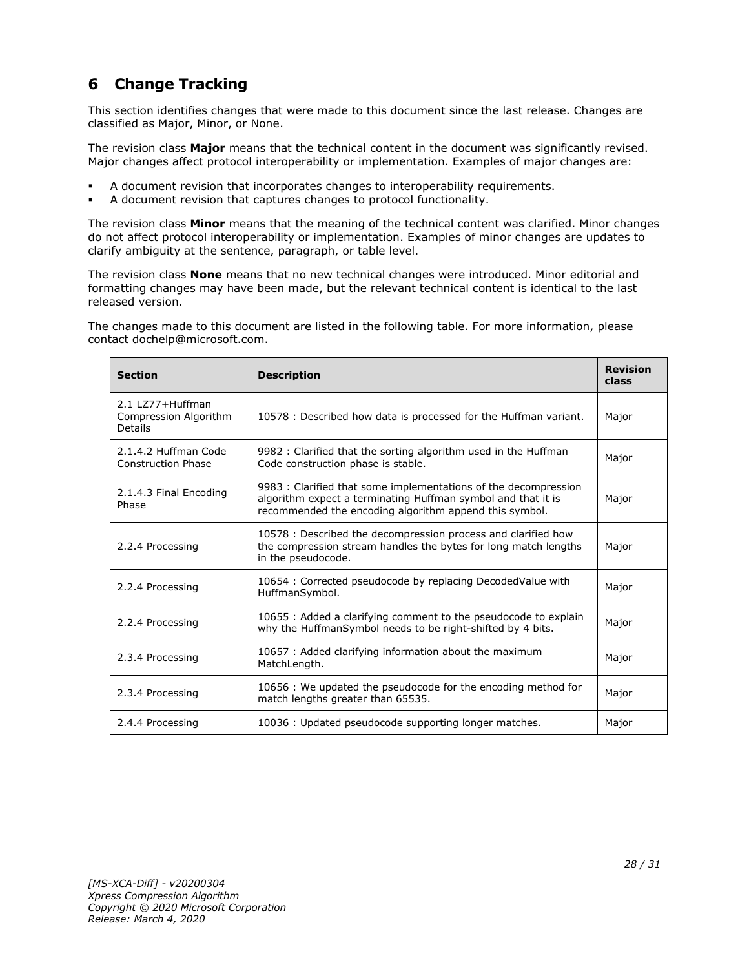# <span id="page-27-0"></span>**6 Change Tracking**

This section identifies changes that were made to this document since the last release. Changes are classified as Major, Minor, or None.

The revision class **Major** means that the technical content in the document was significantly revised. Major changes affect protocol interoperability or implementation. Examples of major changes are:

- A document revision that incorporates changes to interoperability requirements.
- A document revision that captures changes to protocol functionality.

The revision class **Minor** means that the meaning of the technical content was clarified. Minor changes do not affect protocol interoperability or implementation. Examples of minor changes are updates to clarify ambiguity at the sentence, paragraph, or table level.

The revision class **None** means that no new technical changes were introduced. Minor editorial and formatting changes may have been made, but the relevant technical content is identical to the last released version.

The changes made to this document are listed in the following table. For more information, please contact dochelp@microsoft.com.

| <b>Section</b>                                        | <b>Description</b>                                                                                                                                                                        | <b>Revision</b><br>class |
|-------------------------------------------------------|-------------------------------------------------------------------------------------------------------------------------------------------------------------------------------------------|--------------------------|
| 2.1   777+Huffman<br>Compression Algorithm<br>Details | 10578 : Described how data is processed for the Huffman variant.                                                                                                                          | Major                    |
| 2.1.4.2 Huffman Code<br><b>Construction Phase</b>     | 9982 : Clarified that the sorting algorithm used in the Huffman<br>Code construction phase is stable.                                                                                     | Major                    |
| 2.1.4.3 Final Encoding<br>Phase                       | 9983 : Clarified that some implementations of the decompression<br>algorithm expect a terminating Huffman symbol and that it is<br>recommended the encoding algorithm append this symbol. | Major                    |
| 2.2.4 Processing                                      | 10578 : Described the decompression process and clarified how<br>the compression stream handles the bytes for long match lengths<br>in the pseudocode.                                    | Major                    |
| 2.2.4 Processing                                      | 10654 : Corrected pseudocode by replacing DecodedValue with<br>HuffmanSymbol.                                                                                                             | Major                    |
| 2.2.4 Processing                                      | 10655 : Added a clarifying comment to the pseudocode to explain<br>why the HuffmanSymbol needs to be right-shifted by 4 bits.                                                             | Major                    |
| 2.3.4 Processing                                      | 10657 : Added clarifying information about the maximum<br>MatchLength.                                                                                                                    | Major                    |
| 2.3.4 Processing                                      | 10656 : We updated the pseudocode for the encoding method for<br>match lengths greater than 65535.                                                                                        | Major                    |
| 2.4.4 Processing                                      | 10036 : Updated pseudocode supporting longer matches.                                                                                                                                     | Major                    |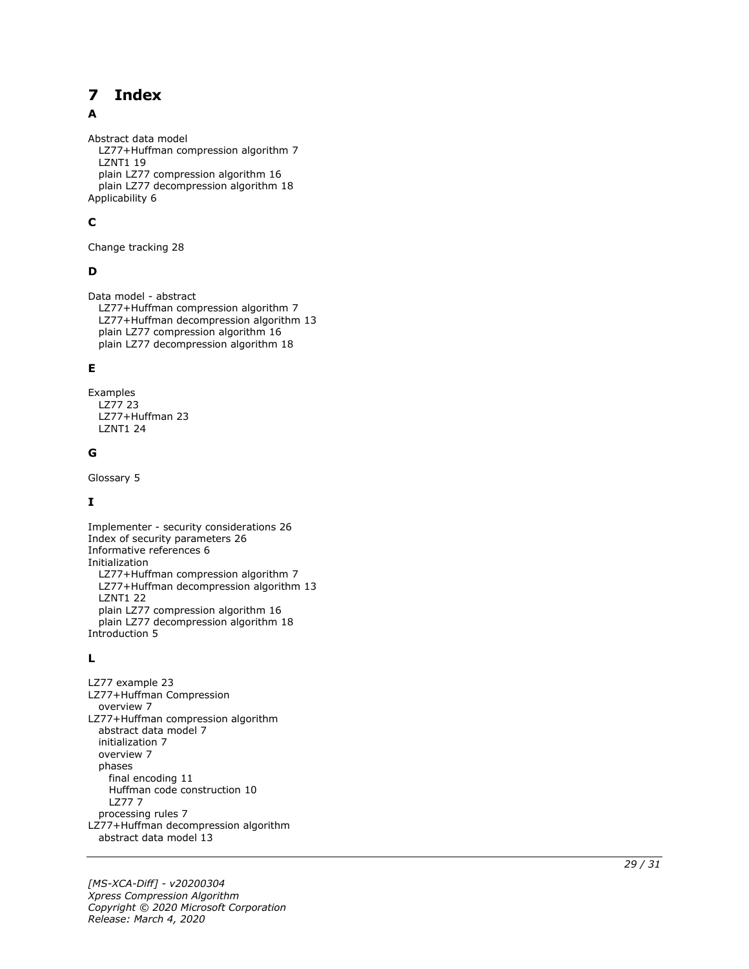#### <span id="page-28-0"></span>**Index**  $\overline{\mathbf{z}}$

#### A

Abstract data model LZ77+Huffman compression algorithm 7 LZNT1 19 plain LZ77 compression algorithm 16 plain LZ77 decompression algorithm 18 Applicability 6

### **C**

Change tracking 28

### **D**

Data model - abstract LZ77+Huffman compression algorithm 7 LZ77+Huffman decompression algorithm 13 plain LZ77 compression algorithm 16 plain LZ77 decompression algorithm 18

#### **E**

Examples LZ77 23 LZ77+Huffman 23 LZNT1 24

#### **G**

Glossary 5

### **I**

Implementer - security considerations 26 Index of security parameters 26 Informative references 6 Initialization LZ77+Huffman compression algorithm 7 LZ77+Huffman decompression algorithm 13 LZNT1 22 plain LZ77 compression algorithm 16 plain LZ77 decompression algorithm 18 Introduction 5

#### **L**

**7 Index**<br>
Abstract data model<br>
LZ77+Huffman compi<br>
LZ771 19<br>
plain LZ77 compressie<br>
Applicability 6<br> **C**<br>
Change tracking 28<br> **D**<br>
Data model - abstract<br>
LZ77+Huffman compian LZ77 compressie<br>
plain LZ77 compressie<br>
plai LZ77 example 23 LZ77+Huffman Compression overview 7 LZ77+Huffman compression algorithm abstract data model 7 initialization 7 overview 7 phases final encoding 11 Huffman code construction 10 LZ77 7 processing rules 7 LZ77+Huffman decompression algorithm abstract data model 13

*[MS -XCA -Diff] - v20200304 Xpress Compression Algorithm Copyright © 2020 Microsoft Corporation* Release: March 4, 2020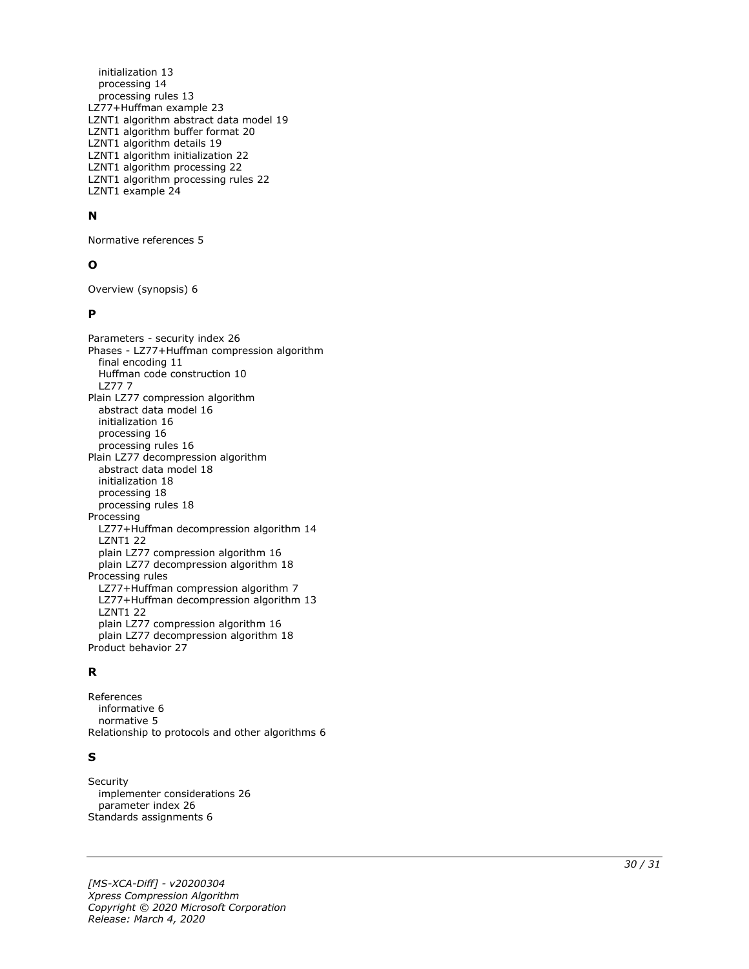initialization 13 processing 14 processing rules 13 LZ77+Huffman example 23 LZNT1 algorithm abstract data model 19 LZNT1 algorithm buffer format 20 LZNT1 algorithm details 19 LZNT1 algorithm initialization 22 LZNT1 algorithm processing 22 LZNT1 algorithm processing rules 22 LZNT1 example 24

#### **N**

Normative references 5

#### **O**

Overview (synopsis) 6

#### **P**

Parameters - security index 26 Phases - LZ77+Huffman compression algorithm final encoding 11 Huffman code construction 10 LZ77 7 Plain LZ77 compression algorithm abstract data model 16 initialization 16 processing 16 processing rules 16 Plain LZ77 decompression algorithm abstract data model 18 initialization 18 processing 18 processing rules 18 Processing LZ77+Huffman decompression algorithm 14 LZNT1 22 plain LZ77 compression algorithm 16 plain LZ77 decompression algorithm 18 Processing rules LZ77+Huffman compression algorithm 7 LZ77+Huffman decompression algorithm 13 LZNT1 22 plain LZ77 compression algorithm 16 plain LZ77 decompression algorithm 18 Product behavior 27

#### **R**

References informative 6 normative 5 Relationship to protocols and other algorithms 6

#### **S**

**Security**  implementer considerations 26 parameter index 26 Standards assignments 6

*[MS -XCA -Diff] - v20200304 Xpress Compression Algorithm Copyright © 2020 Microsoft Corporation Release: March 4, 2020*